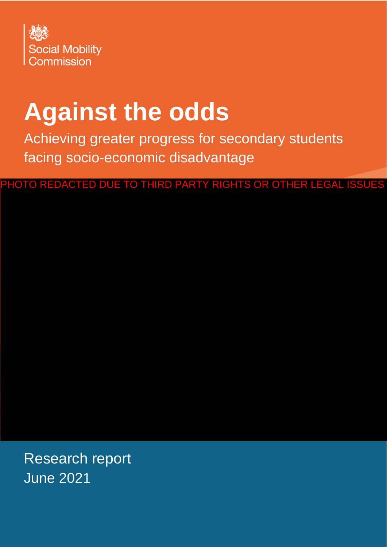

# **Against the odds**

Achieving greater progress for secondary students facing socio-economic disadvantage

PHOTO REDACTED DUE TO THIRD PARTY RIGHTS OR OTHER LEGAL ISSUES

Research report June 2021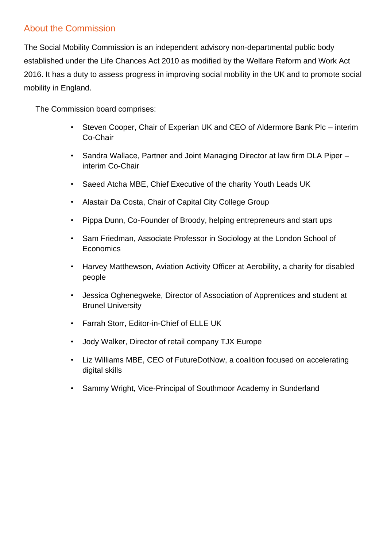#### About the Commission

The Social Mobility Commission is an independent advisory non-departmental public body established under the Life Chances Act 2010 as modified by the Welfare Reform and Work Act 2016. It has a duty to assess progress in improving social mobility in the UK and to promote social mobility in England.

The Commission board comprises:

- Steven Cooper, Chair of Experian UK and CEO of Aldermore Bank Plc interim Co-Chair
- Sandra Wallace, Partner and Joint Managing Director at law firm DLA Piper interim Co-Chair
- Saeed Atcha MBE, Chief Executive of the charity Youth Leads UK
- Alastair Da Costa, Chair of Capital City College Group
- Pippa Dunn, Co-Founder of Broody, helping entrepreneurs and start ups
- Sam Friedman, Associate Professor in Sociology at the London School of **Economics**
- Harvey Matthewson, Aviation Activity Officer at Aerobility, a charity for disabled people
- Jessica Oghenegweke, Director of Association of Apprentices and student at Brunel University
- Farrah Storr, Editor-in-Chief of ELLE UK
- Jody Walker, Director of retail company TJX Europe
- Liz Williams MBE, CEO of FutureDotNow, a coalition focused on accelerating digital skills
- Sammy Wright, Vice-Principal of Southmoor Academy in Sunderland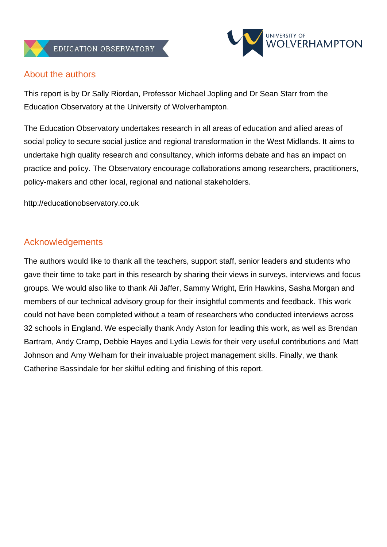



#### About the authors

This report is by Dr Sally Riordan, Professor Michael Jopling and Dr Sean Starr from the Education Observatory at the University of Wolverhampton.

The Education Observatory undertakes research in all areas of education and allied areas of social policy to secure social justice and regional transformation in the West Midlands. It aims to undertake high quality research and consultancy, which informs debate and has an impact on practice and policy. The Observatory encourage collaborations among researchers, practitioners, policy-makers and other local, regional and national stakeholders.

[http://educationobservatory.co.uk](http://educationobservatory.co.uk/)

#### **Acknowledgements**

The authors would like to thank all the teachers, support staff, senior leaders and students who gave their time to take part in this research by sharing their views in surveys, interviews and focus groups. We would also like to thank Ali Jaffer, Sammy Wright, Erin Hawkins, Sasha Morgan and members of our technical advisory group for their insightful comments and feedback. This work could not have been completed without a team of researchers who conducted interviews across 32 schools in England. We especially thank Andy Aston for leading this work, as well as Brendan Bartram, Andy Cramp, Debbie Hayes and Lydia Lewis for their very useful contributions and Matt Johnson and Amy Welham for their invaluable project management skills. Finally, we thank Catherine Bassindale for her skilful editing and finishing of this report.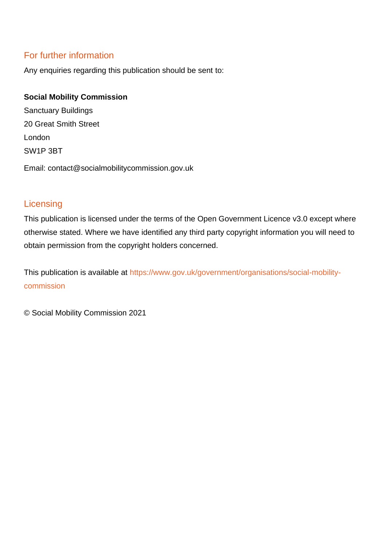#### For further information

Any enquiries regarding this publication should be sent to:

#### **Social Mobility Commission**

Sanctuary Buildings 20 Great Smith Street London SW1P 3BT Email: contact@socialmobilitycommission.gov.uk

#### **Licensing**

This publication is licensed under the terms of the Open Government Licence v3.0 except where otherwise stated. Where we have identified any third party copyright information you will need to obtain permission from the copyright holders concerned.

This publication is available at [https://www.gov.uk/government/organisations/social-mobility](https://www.gov.uk/government/organisations/social-mobility-commission)[commission](https://www.gov.uk/government/organisations/social-mobility-commission)

© Social Mobility Commission 2021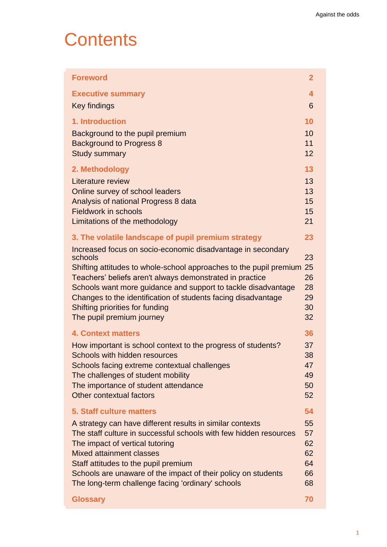### **Contents**

| <b>Executive summary</b><br>4<br>Key findings<br>6<br>1. Introduction<br>10<br>10<br>Background to the pupil premium<br>11<br><b>Background to Progress 8</b><br><b>Study summary</b><br>12<br>13<br>2. Methodology<br>13<br>Literature review<br>13<br>Online survey of school leaders<br>Analysis of national Progress 8 data<br>15<br>15<br><b>Fieldwork in schools</b><br>Limitations of the methodology<br>21<br>3. The volatile landscape of pupil premium strategy<br>23<br>Increased focus on socio-economic disadvantage in secondary<br>23<br>schools |
|-----------------------------------------------------------------------------------------------------------------------------------------------------------------------------------------------------------------------------------------------------------------------------------------------------------------------------------------------------------------------------------------------------------------------------------------------------------------------------------------------------------------------------------------------------------------|
|                                                                                                                                                                                                                                                                                                                                                                                                                                                                                                                                                                 |
|                                                                                                                                                                                                                                                                                                                                                                                                                                                                                                                                                                 |
|                                                                                                                                                                                                                                                                                                                                                                                                                                                                                                                                                                 |
|                                                                                                                                                                                                                                                                                                                                                                                                                                                                                                                                                                 |
|                                                                                                                                                                                                                                                                                                                                                                                                                                                                                                                                                                 |
|                                                                                                                                                                                                                                                                                                                                                                                                                                                                                                                                                                 |
|                                                                                                                                                                                                                                                                                                                                                                                                                                                                                                                                                                 |
|                                                                                                                                                                                                                                                                                                                                                                                                                                                                                                                                                                 |
|                                                                                                                                                                                                                                                                                                                                                                                                                                                                                                                                                                 |
|                                                                                                                                                                                                                                                                                                                                                                                                                                                                                                                                                                 |
|                                                                                                                                                                                                                                                                                                                                                                                                                                                                                                                                                                 |
|                                                                                                                                                                                                                                                                                                                                                                                                                                                                                                                                                                 |
|                                                                                                                                                                                                                                                                                                                                                                                                                                                                                                                                                                 |
|                                                                                                                                                                                                                                                                                                                                                                                                                                                                                                                                                                 |
| Shifting attitudes to whole-school approaches to the pupil premium 25                                                                                                                                                                                                                                                                                                                                                                                                                                                                                           |
| Teachers' beliefs aren't always demonstrated in practice<br>26                                                                                                                                                                                                                                                                                                                                                                                                                                                                                                  |
| Schools want more guidance and support to tackle disadvantage<br>28                                                                                                                                                                                                                                                                                                                                                                                                                                                                                             |
| Changes to the identification of students facing disadvantage<br>29<br>Shifting priorities for funding<br>30                                                                                                                                                                                                                                                                                                                                                                                                                                                    |
| 32<br>The pupil premium journey                                                                                                                                                                                                                                                                                                                                                                                                                                                                                                                                 |
| 36<br><b>4. Context matters</b>                                                                                                                                                                                                                                                                                                                                                                                                                                                                                                                                 |
| 37                                                                                                                                                                                                                                                                                                                                                                                                                                                                                                                                                              |
| How important is school context to the progress of students?<br><b>Schools with hidden resources</b><br>38                                                                                                                                                                                                                                                                                                                                                                                                                                                      |
| Schools facing extreme contextual challenges<br>47                                                                                                                                                                                                                                                                                                                                                                                                                                                                                                              |
| The challenges of student mobility<br>49                                                                                                                                                                                                                                                                                                                                                                                                                                                                                                                        |
| The importance of student attendance<br>50                                                                                                                                                                                                                                                                                                                                                                                                                                                                                                                      |
| <b>Other contextual factors</b><br>52                                                                                                                                                                                                                                                                                                                                                                                                                                                                                                                           |
| 5. Staff culture matters<br>54                                                                                                                                                                                                                                                                                                                                                                                                                                                                                                                                  |
| 55<br>A strategy can have different results in similar contexts                                                                                                                                                                                                                                                                                                                                                                                                                                                                                                 |
| The staff culture in successful schools with few hidden resources<br>57                                                                                                                                                                                                                                                                                                                                                                                                                                                                                         |
| The impact of vertical tutoring<br>62<br><b>Mixed attainment classes</b><br>62                                                                                                                                                                                                                                                                                                                                                                                                                                                                                  |
| Staff attitudes to the pupil premium<br>64                                                                                                                                                                                                                                                                                                                                                                                                                                                                                                                      |
| Schools are unaware of the impact of their policy on students<br>66                                                                                                                                                                                                                                                                                                                                                                                                                                                                                             |
| The long-term challenge facing 'ordinary' schools<br>68                                                                                                                                                                                                                                                                                                                                                                                                                                                                                                         |
| 70<br><b>Glossary</b>                                                                                                                                                                                                                                                                                                                                                                                                                                                                                                                                           |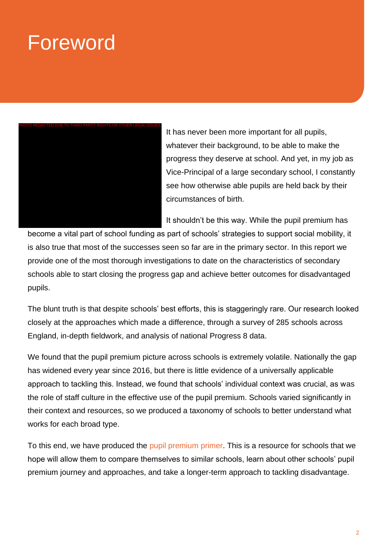## Foreword



It has never been more important for all pupils, whatever their background, to be able to make the progress they deserve at school. And yet, in my job as Vice-Principal of a large secondary school, I constantly see how otherwise able pupils are held back by their circumstances of birth.

It shouldn't be this way. While the pupil premium has

become a vital part of school funding as part of schools' strategies to support social mobility, it is also true that most of the successes seen so far are in the primary sector. In this report we provide one of the most thorough investigations to date on the characteristics of secondary schools able to start closing the progress gap and achieve better outcomes for disadvantaged pupils.

The blunt truth is that despite schools' best efforts, this is staggeringly rare. Our research looked closely at the approaches which made a difference, through a survey of 285 schools across England, in-depth fieldwork, and analysis of national Progress 8 data.

We found that the pupil premium picture across schools is extremely volatile. Nationally the gap has widened every year since 2016, but there is little evidence of a universally applicable approach to tackling this. Instead, we found that schools' individual context was crucial, as was the role of staff culture in the effective use of the pupil premium. Schools varied significantly in their context and resources, so we produced a taxonomy of schools to better understand what works for each broad type.

To this end, we have produced the [pupil premium primer.](http://educationobservatory.co.uk/pupilpremiumprimer/) This is a resource for schools that we hope will allow them to compare themselves to similar schools, learn about other schools' pupil premium journey and approaches, and take a longer-term approach to tackling disadvantage.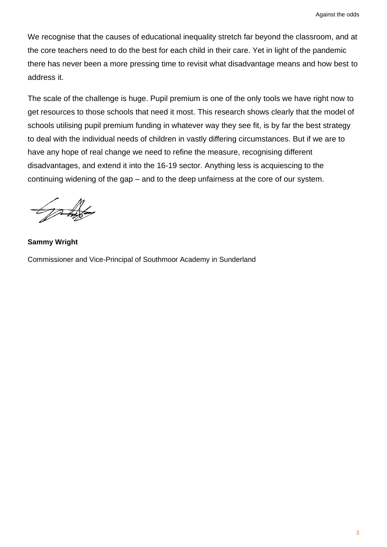We recognise that the causes of educational inequality stretch far beyond the classroom, and at the core teachers need to do the best for each child in their care. Yet in light of the pandemic there has never been a more pressing time to revisit what disadvantage means and how best to address it.

The scale of the challenge is huge. Pupil premium is one of the only tools we have right now to get resources to those schools that need it most. This research shows clearly that the model of schools utilising pupil premium funding in whatever way they see fit, is by far the best strategy to deal with the individual needs of children in vastly differing circumstances. But if we are to have any hope of real change we need to refine the measure, recognising different disadvantages, and extend it into the 16-19 sector. Anything less is acquiescing to the continuing widening of the gap – and to the deep unfairness at the core of our system.

Gottes

**Sammy Wright** Commissioner and Vice-Principal of Southmoor Academy in Sunderland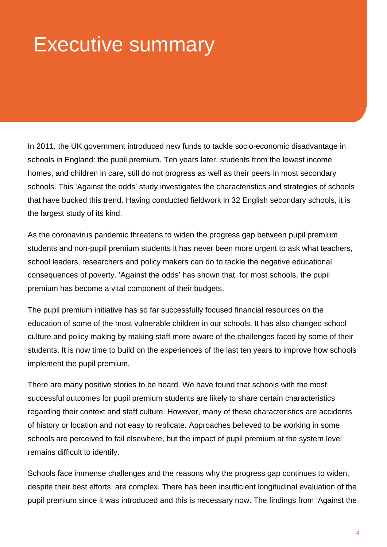## Executive summary

In 2011, the UK government introduced new funds to tackle socio-economic disadvantage in schools in England: the pupil premium. Ten years later, students from the lowest income homes, and children in care, still do not progress as well as their peers in most secondary schools. This 'Against the odds' study investigates the characteristics and strategies of schools that have bucked this trend. Having conducted fieldwork in 32 English secondary schools, it is the largest study of its kind.

As the coronavirus pandemic threatens to widen the progress gap between pupil premium students and non-pupil premium students it has never been more urgent to ask what teachers, school leaders, researchers and policy makers can do to tackle the negative educational consequences of poverty. 'Against the odds' has shown that, for most schools, the pupil premium has become a vital component of their budgets.

The pupil premium initiative has so far successfully focused financial resources on the education of some of the most vulnerable children in our schools. It has also changed school culture and policy making by making staff more aware of the challenges faced by some of their students. It is now time to build on the experiences of the last ten years to improve how schools implement the pupil premium.

There are many positive stories to be heard. We have found that schools with the most successful outcomes for pupil premium students are likely to share certain characteristics regarding their context and staff culture. However, many of these characteristics are accidents of history or location and not easy to replicate. Approaches believed to be working in some schools are perceived to fail elsewhere, but the impact of pupil premium at the system level remains difficult to identify.

Schools face immense challenges and the reasons why the progress gap continues to widen, despite their best efforts, are complex. There has been insufficient longitudinal evaluation of the pupil premium since it was introduced and this is necessary now. The findings from 'Against the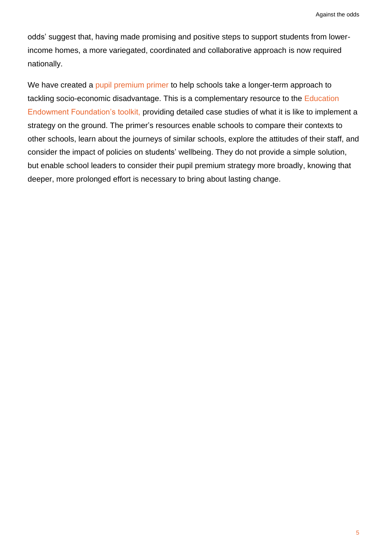odds' suggest that, having made promising and positive steps to support students from lowerincome homes, a more variegated, coordinated and collaborative approach is now required nationally.

We have created a [pupil premium primer](http://educationobservatory.co.uk/pupilpremiumprimer/) to help schools take a longer-term approach to tackling socio-economic disadvantage. This is a complementary resource to the [Education](https://educationendowmentfoundation.org.uk/evidence-summaries/teaching-learning-toolkit/)  [Endowment Foundation's toolkit,](https://educationendowmentfoundation.org.uk/evidence-summaries/teaching-learning-toolkit/) providing detailed case studies of what it is like to implement a strategy on the ground. The primer's resources enable schools to compare their contexts to other schools, learn about the journeys of similar schools, explore the attitudes of their staff, and consider the impact of policies on students' wellbeing. They do not provide a simple solution, but enable school leaders to consider their pupil premium strategy more broadly, knowing that deeper, more prolonged effort is necessary to bring about lasting change.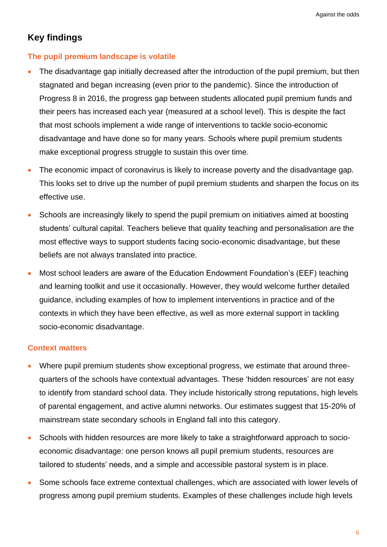#### **Key findings**

#### **The pupil premium landscape is volatile**

- The disadvantage gap initially decreased after the introduction of the pupil premium, but then stagnated and began increasing (even prior to the pandemic). Since the introduction of Progress 8 in 2016, the progress gap between students allocated pupil premium funds and their peers has increased each year (measured at a school level). This is despite the fact that most schools implement a wide range of interventions to tackle socio-economic disadvantage and have done so for many years. Schools where pupil premium students make exceptional progress struggle to sustain this over time.
- The economic impact of coronavirus is likely to increase poverty and the disadvantage gap. This looks set to drive up the number of pupil premium students and sharpen the focus on its effective use.
- Schools are increasingly likely to spend the pupil premium on initiatives aimed at boosting students' cultural capital. Teachers believe that quality teaching and personalisation are the most effective ways to support students facing socio-economic disadvantage, but these beliefs are not always translated into practice.
- Most school leaders are aware of the Education Endowment Foundation's (EEF) teaching and learning toolkit and use it occasionally. However, they would welcome further detailed guidance, including examples of how to implement interventions in practice and of the contexts in which they have been effective, as well as more external support in tackling socio-economic disadvantage.

#### **Context matters**

- Where pupil premium students show exceptional progress, we estimate that around threequarters of the schools have contextual advantages. These 'hidden resources' are not easy to identify from standard school data. They include historically strong reputations, high levels of parental engagement, and active alumni networks. Our estimates suggest that 15-20% of mainstream state secondary schools in England fall into this category.
- Schools with hidden resources are more likely to take a straightforward approach to socioeconomic disadvantage: one person knows all pupil premium students, resources are tailored to students' needs, and a simple and accessible pastoral system is in place.
- Some schools face extreme contextual challenges, which are associated with lower levels of progress among pupil premium students. Examples of these challenges include high levels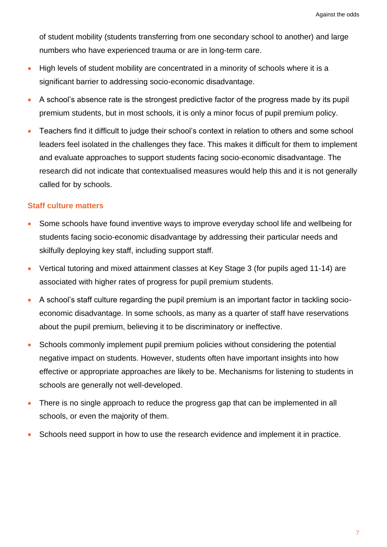of student mobility (students transferring from one secondary school to another) and large numbers who have experienced trauma or are in long-term care.

- High levels of student mobility are concentrated in a minority of schools where it is a significant barrier to addressing socio-economic disadvantage.
- A school's absence rate is the strongest predictive factor of the progress made by its pupil premium students, but in most schools, it is only a minor focus of pupil premium policy.
- Teachers find it difficult to judge their school's context in relation to others and some school leaders feel isolated in the challenges they face. This makes it difficult for them to implement and evaluate approaches to support students facing socio-economic disadvantage. The research did not indicate that contextualised measures would help this and it is not generally called for by schools.

#### **Staff culture matters**

- Some schools have found inventive ways to improve everyday school life and wellbeing for students facing socio-economic disadvantage by addressing their particular needs and skilfully deploying key staff, including support staff.
- Vertical tutoring and mixed attainment classes at Key Stage 3 (for pupils aged 11-14) are associated with higher rates of progress for pupil premium students.
- A school's staff culture regarding the pupil premium is an important factor in tackling socioeconomic disadvantage. In some schools, as many as a quarter of staff have reservations about the pupil premium, believing it to be discriminatory or ineffective.
- Schools commonly implement pupil premium policies without considering the potential negative impact on students. However, students often have important insights into how effective or appropriate approaches are likely to be. Mechanisms for listening to students in schools are generally not well-developed.
- There is no single approach to reduce the progress gap that can be implemented in all schools, or even the majority of them.
- Schools need support in how to use the research evidence and implement it in practice.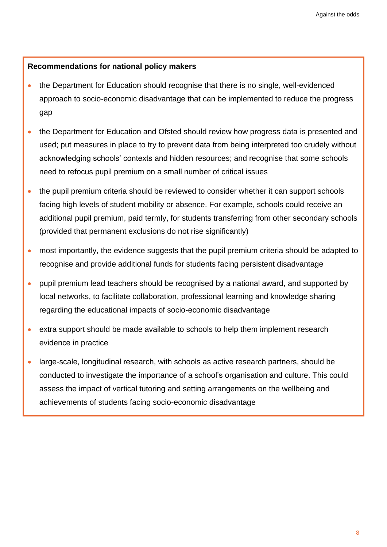#### **Recommendations for national policy makers**

- the Department for Education should recognise that there is no single, well-evidenced approach to socio-economic disadvantage that can be implemented to reduce the progress gap
- the Department for Education and Ofsted should review how progress data is presented and used; put measures in place to try to prevent data from being interpreted too crudely without acknowledging schools' contexts and hidden resources; and recognise that some schools need to refocus pupil premium on a small number of critical issues
- the pupil premium criteria should be reviewed to consider whether it can support schools facing high levels of student mobility or absence. For example, schools could receive an additional pupil premium, paid termly, for students transferring from other secondary schools (provided that permanent exclusions do not rise significantly)
- most importantly, the evidence suggests that the pupil premium criteria should be adapted to recognise and provide additional funds for students facing persistent disadvantage
- pupil premium lead teachers should be recognised by a national award, and supported by local networks, to facilitate collaboration, professional learning and knowledge sharing regarding the educational impacts of socio-economic disadvantage
- extra support should be made available to schools to help them implement research evidence in practice
- large-scale, longitudinal research, with schools as active research partners, should be conducted to investigate the importance of a school's organisation and culture. This could assess the impact of vertical tutoring and setting arrangements on the wellbeing and achievements of students facing socio-economic disadvantage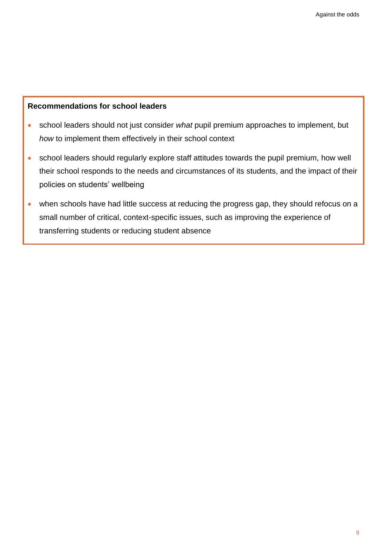#### **Recommendations for school leaders**

- school leaders should not just consider *what* pupil premium approaches to implement, but *how* to implement them effectively in their school context
- school leaders should regularly explore staff attitudes towards the pupil premium, how well their school responds to the needs and circumstances of its students, and the impact of their policies on students' wellbeing
- when schools have had little success at reducing the progress gap, they should refocus on a small number of critical, context-specific issues, such as improving the experience of transferring students or reducing student absence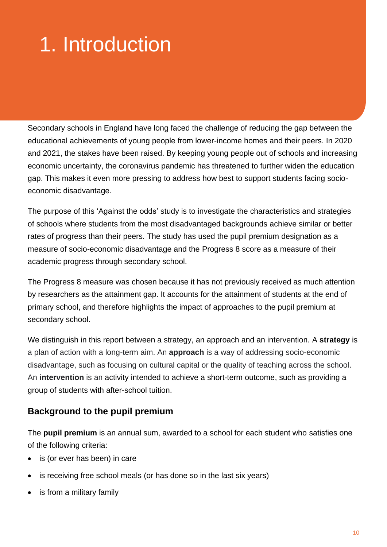## 1. Introduction

Secondary schools in England have long faced the challenge of reducing the gap between the educational achievements of young people from lower-income homes and their peers. In 2020 and 2021, the stakes have been raised. By keeping young people out of schools and increasing economic uncertainty, the coronavirus pandemic has threatened to further widen the education gap. This makes it even more pressing to address how best to support students facing socioeconomic disadvantage.

The purpose of this 'Against the odds' study is to investigate the characteristics and strategies of schools where students from the most disadvantaged backgrounds achieve similar or better rates of progress than their peers. The study has used the pupil premium designation as a measure of socio-economic disadvantage and the Progress 8 score as a measure of their academic progress through secondary school.

The Progress 8 measure was chosen because it has not previously received as much attention by researchers as the attainment gap. It accounts for the attainment of students at the end of primary school, and therefore highlights the impact of approaches to the pupil premium at secondary school.

We distinguish in this report between a strategy, an approach and an intervention. A **strategy** is a plan of action with a long-term aim. An **approach** is a way of addressing socio-economic disadvantage, such as focusing on cultural capital or the quality of teaching across the school. An **intervention** is an activity intended to achieve a short-term outcome, such as providing a group of students with after-school tuition.

#### **Background to the pupil premium**

The **pupil premium** is an annual sum, awarded to a school for each student who satisfies one of the following criteria:

- is (or ever has been) in care
- is receiving free school meals (or has done so in the last six years)
- is from a military family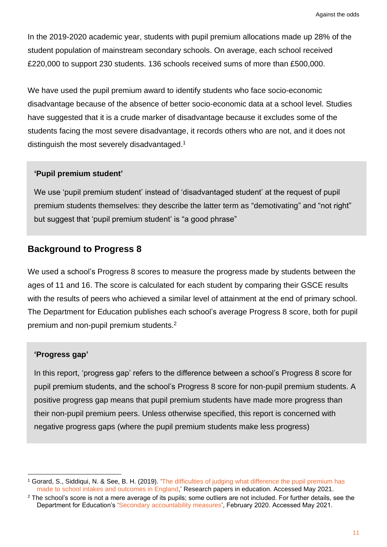In the 2019-2020 academic year, students with pupil premium allocations made up 28% of the student population of mainstream secondary schools. On average, each school received £220,000 to support 230 students. 136 schools received sums of more than £500,000.

We have used the pupil premium award to identify students who face socio-economic disadvantage because of the absence of better socio-economic data at a school level. Studies have suggested that it is a crude marker of disadvantage because it excludes some of the students facing the most severe disadvantage, it records others who are not, and it does not distinguish the most severely disadvantaged.<sup>1</sup>

#### **'Pupil premium student'**

We use 'pupil premium student' instead of 'disadvantaged student' at the request of pupil premium students themselves: they describe the latter term as "demotivating" and "not right" but suggest that 'pupil premium student' is "a good phrase"

#### **Background to Progress 8**

We used a school's Progress 8 scores to measure the progress made by students between the ages of 11 and 16. The score is calculated for each student by comparing their GSCE results with the results of peers who achieved a similar level of attainment at the end of primary school. The Department for Education publishes each school's average Progress 8 score, both for pupil premium and non-pupil premium students.<sup>2</sup>

#### **'Progress gap'**

In this report, 'progress gap' refers to the difference between a school's Progress 8 score for pupil premium students, and the school's Progress 8 score for non-pupil premium students. A positive progress gap means that pupil premium students have made more progress than their non-pupil premium peers. Unless otherwise specified, this report is concerned with negative progress gaps (where the pupil premium students make less progress)

<sup>1</sup> Gorard, S., Siddiqui, N. & See, B. H. (2019). ['The difficulties of judging what difference the pupil premium has](https://www.tandfonline.com/doi/full/10.1080/02671522.2019.1677759)  [made to school intakes and outcomes in England,](https://www.tandfonline.com/doi/full/10.1080/02671522.2019.1677759)' Research papers in education. Accessed May 2021.

<sup>&</sup>lt;sup>2</sup> The school's score is not a mere average of its pupils; some outliers are not included. For further details, see the Department for Education's ['Secondary accountability measures'](https://www.gov.uk/government/publications/progress-8-school-performance-measure), February 2020. Accessed May 2021.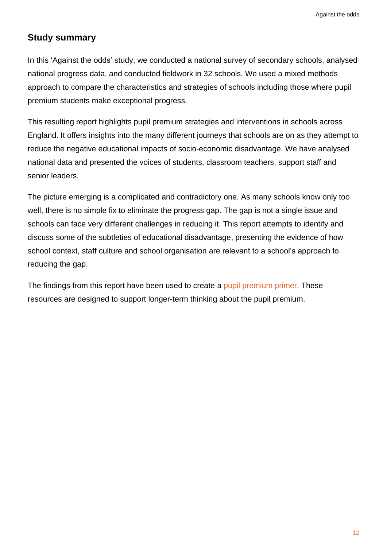#### <span id="page-15-0"></span>**Study summary**

In this 'Against the odds' study, we conducted a national survey of secondary schools, analysed national progress data, and conducted fieldwork in 32 schools. We used a mixed methods approach to compare the characteristics and strategies of schools including those where pupil premium students make exceptional progress.

This resulting report highlights pupil premium strategies and interventions in schools across England. It offers insights into the many different journeys that schools are on as they attempt to reduce the negative educational impacts of socio-economic disadvantage. We have analysed national data and presented the voices of students, classroom teachers, support staff and senior leaders.

The picture emerging is a complicated and contradictory one. As many schools know only too well, there is no simple fix to eliminate the progress gap. The gap is not a single issue and schools can face very different challenges in reducing it. This report attempts to identify and discuss some of the subtleties of educational disadvantage, presenting the evidence of how school context, staff culture and school organisation are relevant to a school's approach to reducing the gap.

The findings from this report have been used to create a [pupil premium primer.](http://educationobservatory.co.uk/pupilpremiumprimer/) These resources are designed to support longer-term thinking about the pupil premium.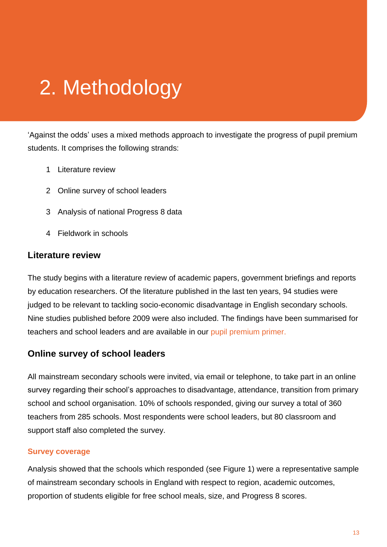## 2. Methodology

'Against the odds' uses a mixed methods approach to investigate the progress of pupil premium students. It comprises the following strands:

- 1 Literature review
- 2 Online survey of school leaders
- 3 Analysis of national Progress 8 data
- 4 Fieldwork in schools

#### **Literature review**

The study begins with a literature review of academic papers, government briefings and reports by education researchers. Of the literature published in the last ten years, 94 studies were judged to be relevant to tackling socio-economic disadvantage in English secondary schools. Nine studies published before 2009 were also included. The findings have been summarised for teachers and school leaders and are available in our [pupil premium primer.](http://educationobservatory.co.uk/pupilpremiumprimer/)

#### **Online survey of school leaders**

All mainstream secondary schools were invited, via email or telephone, to take part in an online survey regarding their school's approaches to disadvantage, attendance, transition from primary school and school organisation. 10% of schools responded, giving our survey a total of 360 teachers from 285 schools. Most respondents were school leaders, but 80 classroom and support staff also completed the survey.

#### **Survey coverage**

Analysis showed that the schools which responded (see Figure 1) were a representative sample of mainstream secondary schools in England with respect to region, academic outcomes, proportion of students eligible for free school meals, size, and Progress 8 scores.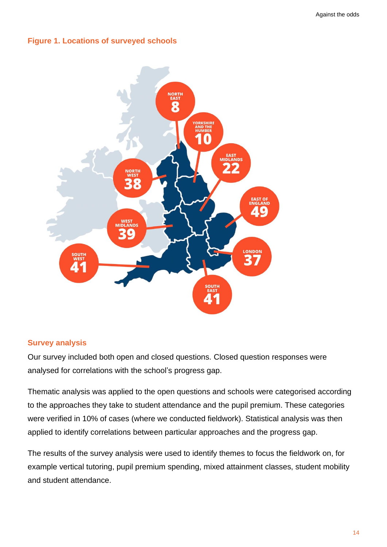#### **Figure 1. Locations of surveyed schools**



#### **Survey analysis**

Our survey included both open and closed questions. Closed question responses were analysed for correlations with the school's progress gap.

Thematic analysis was applied to the open questions and schools were categorised according to the approaches they take to student attendance and the pupil premium. These categories were verified in 10% of cases (where we conducted fieldwork). Statistical analysis was then applied to identify correlations between particular approaches and the progress gap.

The results of the survey analysis were used to identify themes to focus the fieldwork on, for example vertical tutoring, pupil premium spending, mixed attainment classes, student mobility and student attendance.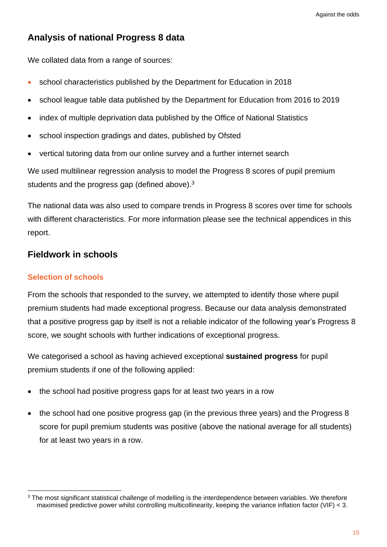#### **Analysis of national Progress 8 data**

We collated data from a range of sources:

- school characteristics published by the Department for Education in 2018
- school league table data published by the Department for Education from 2016 to 2019
- index of multiple deprivation data published by the Office of National Statistics
- school inspection gradings and dates, published by Ofsted
- vertical tutoring data from our online survey and a further internet search

We used multilinear regression analysis to model the Progress 8 scores of pupil premium students and the progress gap (defined above).<sup>3</sup>

The national data was also used to compare trends in Progress 8 scores over time for schools with different characteristics. For more information please see the technical appendices in this report.

#### **Fieldwork in schools**

#### **Selection of schools**

From the schools that responded to the survey, we attempted to identify those where pupil premium students had made exceptional progress. Because our data analysis demonstrated that a positive progress gap by itself is not a reliable indicator of the following year's Progress 8 score, we sought schools with further indications of exceptional progress.

We categorised a school as having achieved exceptional **sustained progress** for pupil premium students if one of the following applied:

- the school had positive progress gaps for at least two years in a row
- the school had one positive progress gap (in the previous three years) and the Progress 8 score for pupil premium students was positive (above the national average for all students) for at least two years in a row.

<sup>&</sup>lt;sup>3</sup> The most significant statistical challenge of modelling is the interdependence between variables. We therefore maximised predictive power whilst controlling multicollinearity, keeping the variance inflation factor (VIF) < 3.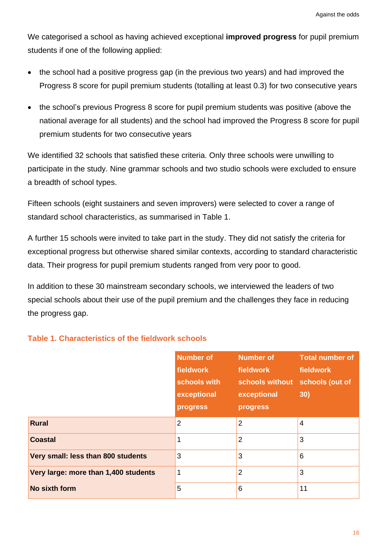We categorised a school as having achieved exceptional **improved progress** for pupil premium students if one of the following applied:

- the school had a positive progress gap (in the previous two years) and had improved the Progress 8 score for pupil premium students (totalling at least 0.3) for two consecutive years
- the school's previous Progress 8 score for pupil premium students was positive (above the national average for all students) and the school had improved the Progress 8 score for pupil premium students for two consecutive years

We identified 32 schools that satisfied these criteria. Only three schools were unwilling to participate in the study. Nine grammar schools and two studio schools were excluded to ensure a breadth of school types.

Fifteen schools (eight sustainers and seven improvers) were selected to cover a range of standard school characteristics, as summarised in Table 1.

A further 15 schools were invited to take part in the study. They did not satisfy the criteria for exceptional progress but otherwise shared similar contexts, according to standard characteristic data. Their progress for pupil premium students ranged from very poor to good.

In addition to these 30 mainstream secondary schools, we interviewed the leaders of two special schools about their use of the pupil premium and the challenges they face in reducing the progress gap.

|                                      | <b>Number of</b><br>fieldwork<br>schools with | <b>Number of</b><br>fieldwork<br>schools without | <b>Total number of</b><br>fieldwork<br>schools (out of<br>30) |
|--------------------------------------|-----------------------------------------------|--------------------------------------------------|---------------------------------------------------------------|
|                                      | exceptional<br>progress                       | exceptional<br>progress                          |                                                               |
|                                      |                                               |                                                  |                                                               |
| <b>Rural</b>                         | $\overline{2}$                                | $\overline{2}$                                   | $\overline{4}$                                                |
| <b>Coastal</b>                       |                                               | $\overline{2}$                                   | 3                                                             |
| Very small: less than 800 students   | 3                                             | 3                                                | 6                                                             |
| Very large: more than 1,400 students | 1                                             | $\overline{2}$                                   | 3                                                             |
| No sixth form                        | 5                                             | 6                                                | 11                                                            |

#### **Table 1. Characteristics of the fieldwork schools**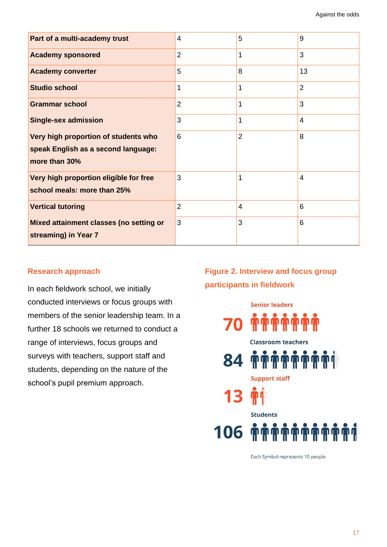| Part of a multi-academy trust                                                                | 4              | 5              | 9              |
|----------------------------------------------------------------------------------------------|----------------|----------------|----------------|
| <b>Academy sponsored</b>                                                                     | $\overline{2}$ | $\overline{1}$ | 3              |
| <b>Academy converter</b>                                                                     | 5              | 8              | 13             |
| <b>Studio school</b>                                                                         | 1              | 1              | $\overline{2}$ |
| <b>Grammar school</b>                                                                        | $\overline{2}$ | 1              | 3              |
| <b>Single-sex admission</b>                                                                  | 3              | $\overline{1}$ | $\overline{4}$ |
| Very high proportion of students who<br>speak English as a second language:<br>more than 30% | 6              | $\overline{2}$ | 8              |
| Very high proportion eligible for free<br>school meals: more than 25%                        | 3              | 1              | 4              |
| <b>Vertical tutoring</b>                                                                     | $\overline{2}$ | 4              | 6              |
| Mixed attainment classes (no setting or<br>streaming) in Year 7                              | 3              | 3              | 6              |

#### **Research approach**

In each fieldwork school, we initially conducted interviews or focus groups with members of the senior leadership team. In a further 18 schools we returned to conduct a range of interviews, focus groups and surveys with teachers, support staff and students, depending on the nature of the school's pupil premium approach.

#### **Figure 2. Interview and focus group participants in fieldwork**



Each Symbol represents 10 people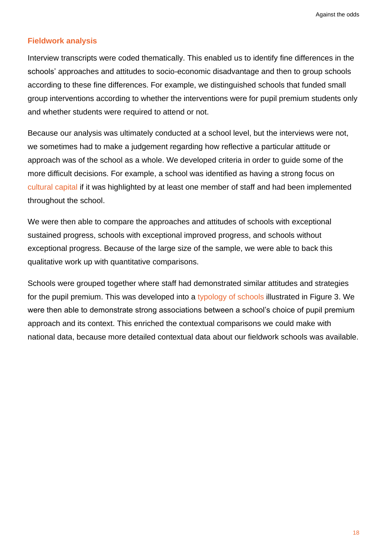#### **Fieldwork analysis**

Interview transcripts were coded thematically. This enabled us to identify fine differences in the schools' approaches and attitudes to socio-economic disadvantage and then to group schools according to these fine differences. For example, we distinguished schools that funded small group interventions according to whether the interventions were for pupil premium students only and whether students were required to attend or not.

Because our analysis was ultimately conducted at a school level, but the interviews were not, we sometimes had to make a judgement regarding how reflective a particular attitude or approach was of the school as a whole. We developed criteria in order to guide some of the more difficult decisions. For example, a school was identified as having a strong focus on [cultural capital](#page-73-0) if it was highlighted by at least one member of staff and had been implemented throughout the school.

We were then able to compare the approaches and attitudes of schools with exceptional sustained progress, schools with exceptional improved progress, and schools without exceptional progress. Because of the large size of the sample, we were able to back this qualitative work up with quantitative comparisons.

Schools were grouped together where staff had demonstrated similar attitudes and strategies for the pupil premium. This was developed into a [typology of schools](http://educationobservatory.co.uk/pupilpremiumprimer/what-kind-of-school-are-you/) illustrated in Figure 3. We were then able to demonstrate strong associations between a school's choice of pupil premium approach and its context. This enriched the contextual comparisons we could make with national data, because more detailed contextual data about our fieldwork schools was available.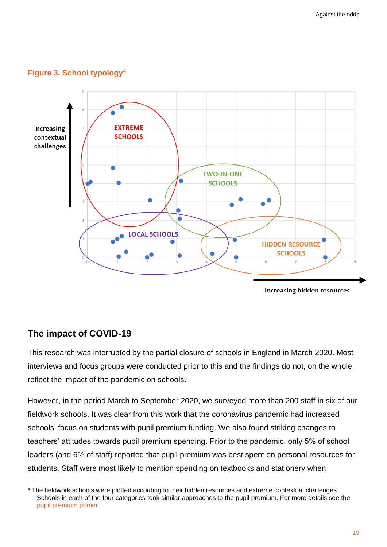



#### **The impact of COVID-19**

This research was interrupted by the partial closure of schools in England in March 2020. Most interviews and focus groups were conducted prior to this and the findings do not, on the whole, reflect the impact of the pandemic on schools.

However, in the period March to September 2020, we surveyed more than 200 staff in six of our fieldwork schools. It was clear from this work that the coronavirus pandemic had increased schools' focus on students with pupil premium funding. We also found striking changes to teachers' attitudes towards pupil premium spending. Prior to the pandemic, only 5% of school leaders (and 6% of staff) reported that pupil premium was best spent on personal resources for students. Staff were most likely to mention spending on textbooks and stationery when

<sup>4</sup> The fieldwork schools were plotted according to their hidden resources and extreme contextual challenges. Schools in each of the four categories took similar approaches to the pupil premium. For more details see the [pupil premium primer.](https://educationobservatory.co.uk/pupilpremiumprimer/what-kind-of-school-are-you/)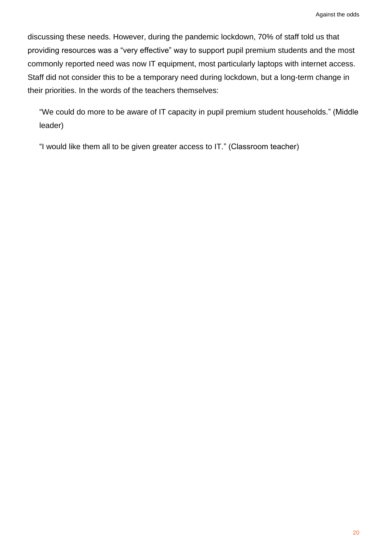discussing these needs. However, during the pandemic lockdown, 70% of staff told us that providing resources was a "very effective" way to support pupil premium students and the most commonly reported need was now IT equipment, most particularly laptops with internet access. Staff did not consider this to be a temporary need during lockdown, but a long-term change in their priorities. In the words of the teachers themselves:

"We could do more to be aware of IT capacity in pupil premium student households." (Middle leader)

"I would like them all to be given greater access to IT." (Classroom teacher)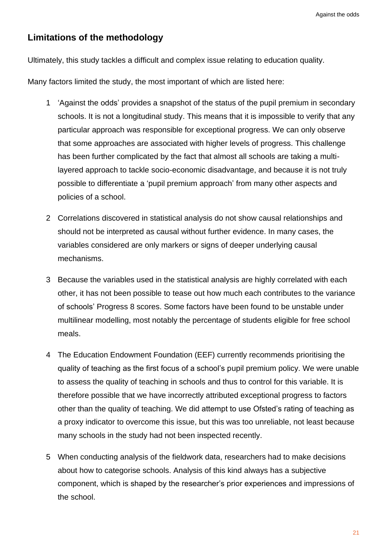#### **Limitations of the methodology**

Ultimately, this study tackles a difficult and complex issue relating to education quality.

Many factors limited the study, the most important of which are listed here:

- 1 'Against the odds' provides a snapshot of the status of the pupil premium in secondary schools. It is not a longitudinal study. This means that it is impossible to verify that any particular approach was responsible for exceptional progress. We can only observe that some approaches are associated with higher levels of progress. This challenge has been further complicated by the fact that almost all schools are taking a multilayered approach to tackle socio-economic disadvantage, and because it is not truly possible to differentiate a 'pupil premium approach' from many other aspects and policies of a school.
- 2 Correlations discovered in statistical analysis do not show causal relationships and should not be interpreted as causal without further evidence. In many cases, the variables considered are only markers or signs of deeper underlying causal mechanisms.
- 3 Because the variables used in the statistical analysis are highly correlated with each other, it has not been possible to tease out how much each contributes to the variance of schools' Progress 8 scores. Some factors have been found to be unstable under multilinear modelling, most notably the percentage of students eligible for free school meals.
- 4 The Education Endowment Foundation (EEF) currently recommends prioritising the quality of teaching as the first focus of a school's pupil premium policy. We were unable to assess the quality of teaching in schools and thus to control for this variable. It is therefore possible that we have incorrectly attributed exceptional progress to factors other than the quality of teaching. We did attempt to use Ofsted's rating of teaching as a proxy indicator to overcome this issue, but this was too unreliable, not least because many schools in the study had not been inspected recently.
- 5 When conducting analysis of the fieldwork data, researchers had to make decisions about how to categorise schools. Analysis of this kind always has a subjective component, which is shaped by the researcher's prior experiences and impressions of the school.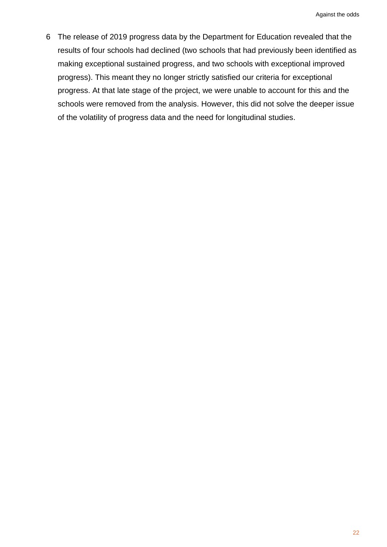6 The release of 2019 progress data by the Department for Education revealed that the results of four schools had declined (two schools that had previously been identified as making exceptional sustained progress, and two schools with exceptional improved progress). This meant they no longer strictly satisfied our criteria for exceptional progress. At that late stage of the project, we were unable to account for this and the schools were removed from the analysis. However, this did not solve the deeper issue of the volatility of progress data and the need for longitudinal studies.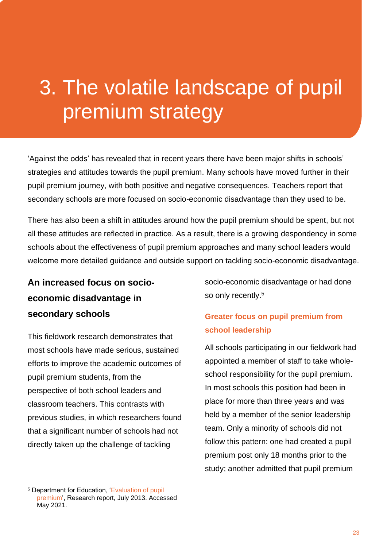## 3. The volatile landscape of pupil premium strategy

'Against the odds' has revealed that in recent years there have been major shifts in schools' strategies and attitudes towards the pupil premium. Many schools have moved further in their pupil premium journey, with both positive and negative consequences. Teachers report that secondary schools are more focused on socio-economic disadvantage than they used to be.

There has also been a shift in attitudes around how the pupil premium should be spent, but not all these attitudes are reflected in practice. As a result, there is a growing despondency in some schools about the effectiveness of pupil premium approaches and many school leaders would welcome more detailed guidance and outside support on tackling socio-economic disadvantage.

**An increased focus on socioeconomic disadvantage in secondary schools**

This fieldwork research demonstrates that most schools have made serious, sustained efforts to improve the academic outcomes of pupil premium students, from the perspective of both school leaders and classroom teachers. This contrasts with previous studies, in which researchers found that a significant number of schools had not directly taken up the challenge of tackling

socio-economic disadvantage or had done so only recently.<sup>5</sup>

#### **Greater focus on pupil premium from school leadership**

All schools participating in our fieldwork had appointed a member of staff to take wholeschool responsibility for the pupil premium. In most schools this position had been in place for more than three years and was held by a member of the senior leadership team. Only a minority of schools did not follow this pattern: one had created a pupil premium post only 18 months prior to the study; another admitted that pupil premium

<sup>5</sup> Department for Education, ['Evaluation of pupil](https://www.gov.uk/government/publications/evaluation-of-pupil-premium)  [premium',](https://www.gov.uk/government/publications/evaluation-of-pupil-premium) Research report, July 2013. Accessed May 2021.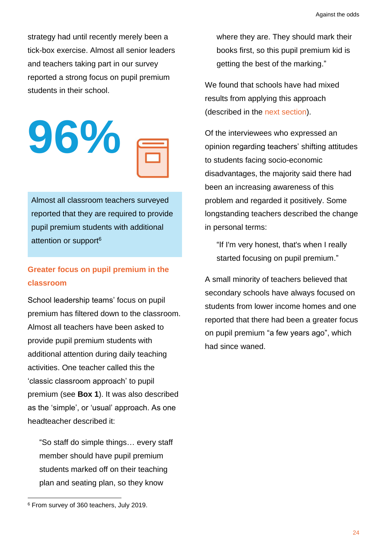strategy had until recently merely been a tick-box exercise. Almost all senior leaders and teachers taking part in our survey reported a strong focus on pupil premium students in their school.

$$
96\% \equiv
$$

Almost all classroom teachers surveyed reported that they are required to provide pupil premium students with additional attention or support<sup>6</sup>

#### **Greater focus on pupil premium in the classroom**

School leadership teams' focus on pupil premium has filtered down to the classroom. Almost all teachers have been asked to provide pupil premium students with additional attention during daily teaching activities. One teacher called this the 'classic classroom approach' to pupil premium (see **Box 1**). It was also described as the 'simple', or 'usual' approach. As one headteacher described it:

"So staff do simple things… every staff member should have pupil premium students marked off on their teaching plan and seating plan, so they know

where they are. They should mark their books first, so this pupil premium kid is getting the best of the marking."

We found that schools have had mixed results from applying this approach (described in the [next section\)](#page-59-0).

Of the interviewees who expressed an opinion regarding teachers' shifting attitudes to students facing socio-economic disadvantages, the majority said there had been an increasing awareness of this problem and regarded it positively. Some longstanding teachers described the change in personal terms:

"If I'm very honest, that's when I really started focusing on pupil premium."

A small minority of teachers believed that secondary schools have always focused on students from lower income homes and one reported that there had been a greater focus on pupil premium "a few years ago", which had since waned.

<sup>6</sup> From survey of 360 teachers, July 2019.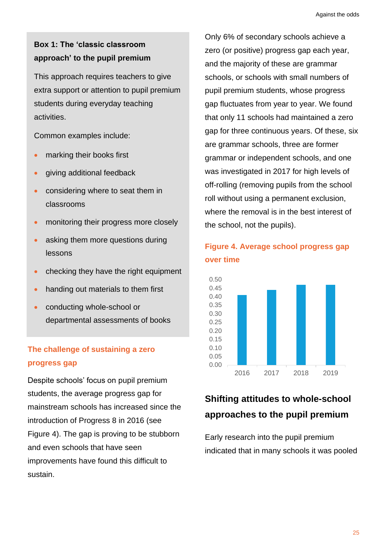#### **Box 1: The 'classic classroom approach' to the pupil premium**

This approach requires teachers to give extra support or attention to pupil premium students during everyday teaching activities.

Common examples include:

- marking their books first
- giving additional feedback
- considering where to seat them in classrooms
- monitoring their progress more closely
- asking them more questions during lessons
- checking they have the right equipment
- handing out materials to them first
- conducting whole-school or departmental assessments of books

#### **The challenge of sustaining a zero progress gap**

Despite schools' focus on pupil premium students, the average progress gap for mainstream schools has increased since the introduction of Progress 8 in 2016 (see Figure 4). The gap is proving to be stubborn and even schools that have seen improvements have found this difficult to sustain.

Only 6% of secondary schools achieve a zero (or positive) progress gap each year, and the majority of these are grammar schools, or schools with small numbers of pupil premium students, whose progress gap fluctuates from year to year. We found that only 11 schools had maintained a zero gap for three continuous years. Of these, six are grammar schools, three are former grammar or independent schools, and one was investigated in 2017 for high levels of off-rolling (removing pupils from the school roll without using a permanent exclusion, where the removal is in the best interest of the school, not the pupils).



#### **Figure 4. Average school progress gap over time**

#### **Shifting attitudes to whole-school approaches to the pupil premium**

Early research into the pupil premium indicated that in many schools it was pooled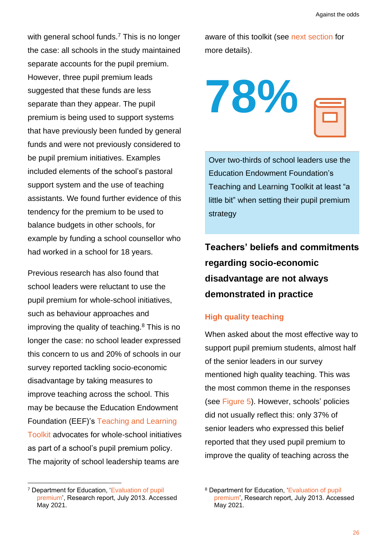with general school funds.<sup>7</sup> This is no longer the case: all schools in the study maintained separate accounts for the pupil premium. However, three pupil premium leads suggested that these funds are less separate than they appear. The pupil premium is being used to support systems that have previously been funded by general funds and were not previously considered to be pupil premium initiatives. Examples included elements of the school's pastoral support system and the use of teaching assistants. We found further evidence of this tendency for the premium to be used to balance budgets in other schools, for example by funding a school counsellor who had worked in a school for 18 years.

Previous research has also found that school leaders were reluctant to use the pupil premium for whole-school initiatives, such as behaviour approaches and improving the quality of teaching.<sup>8</sup> This is no longer the case: no school leader expressed this concern to us and 20% of schools in our survey reported tackling socio-economic disadvantage by taking measures to improve teaching across the school. This may be because the Education Endowment Foundation (EEF)'s [Teaching and Learning](https://educationendowmentfoundation.org.uk/evidence-summaries/teaching-learning-toolkit/) [Toolkit](https://educationendowmentfoundation.org.uk/evidence-summaries/teaching-learning-toolkit/) advocates for whole-school initiatives as part of a school's pupil premium policy. The majority of school leadership teams are

aware of this toolkit (see [next section](#page-32-0) for more details).



Over two-thirds of school leaders use the Education Endowment Foundation's Teaching and Learning Toolkit at least "a little bit" when setting their pupil premium strategy

**Teachers' beliefs and commitments regarding socio-economic disadvantage are not always demonstrated in practice**

#### **High quality teaching**

When asked about the most effective way to support pupil premium students, almost half of the senior leaders in our survey mentioned high quality teaching. This was the most common theme in the responses (see Figure 5). However, schools' policies did not usually reflect this: only 37% of senior leaders who expressed this belief reported that they used pupil premium to improve the quality of teaching across the

<sup>7</sup> Department for Education, ['Evaluation of pupil](https://www.gov.uk/government/publications/evaluation-of-pupil-premium)  [premium',](https://www.gov.uk/government/publications/evaluation-of-pupil-premium) Research report, July 2013. Accessed May 2021.

<sup>8</sup> Department for Education, ['Evaluation of pupil](https://www.gov.uk/government/publications/evaluation-of-pupil-premium)  [premium',](https://www.gov.uk/government/publications/evaluation-of-pupil-premium) Research report, July 2013. Accessed May 2021.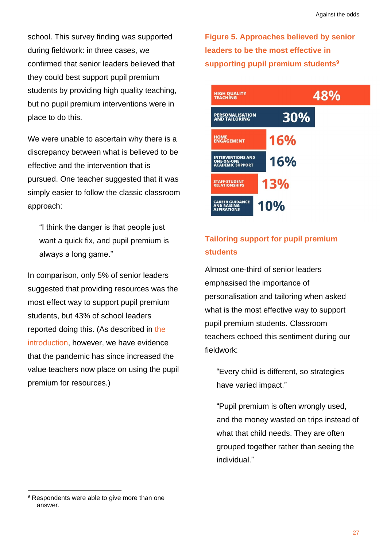school. This survey finding was supported during fieldwork: in three cases, we confirmed that senior leaders believed that they could best support pupil premium students by providing high quality teaching, but no pupil premium interventions were in place to do this.

We were unable to ascertain why there is a discrepancy between what is believed to be effective and the intervention that is pursued. One teacher suggested that it was simply easier to follow the classic classroom approach:

"I think the danger is that people just want a quick fix, and pupil premium is always a long game."

In comparison, only 5% of senior leaders suggested that providing resources was the most effect way to support pupil premium students, but 43% of school leaders reported doing this. (As described in [the](#page-15-0)  [introduction,](#page-15-0) however, we have evidence that the pandemic has since increased the value teachers now place on using the pupil premium for resources.)

**Figure 5. Approaches believed by senior leaders to be the most effective in supporting pupil premium students<sup>9</sup>**



#### **Tailoring support for pupil premium students**

Almost one-third of senior leaders emphasised the importance of personalisation and tailoring when asked what is the most effective way to support pupil premium students. Classroom teachers echoed this sentiment during our fieldwork:

"Every child is different, so strategies have varied impact."

"Pupil premium is often wrongly used, and the money wasted on trips instead of what that child needs. They are often grouped together rather than seeing the individual."

<sup>&</sup>lt;sup>9</sup> Respondents were able to give more than one answer.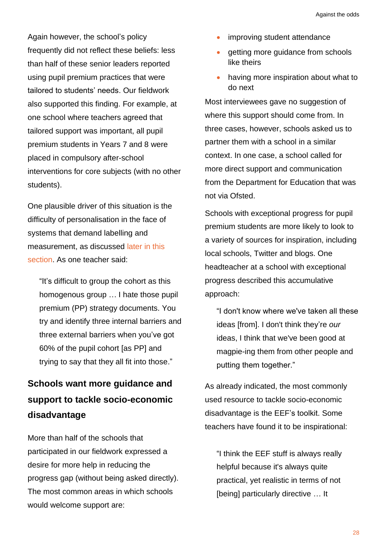Again however, the school's policy frequently did not reflect these beliefs: less than half of these senior leaders reported using pupil premium practices that were tailored to students' needs. Our fieldwork also supported this finding. For example, at one school where teachers agreed that tailored support was important, all pupil premium students in Years 7 and 8 were placed in compulsory after-school interventions for core subjects (with no other students).

One plausible driver of this situation is the difficulty of personalisation in the face of systems that demand labelling and measurement, as discussed [later in this](#page-32-1)  [section.](#page-32-1) As one teacher said:

"It's difficult to group the cohort as this homogenous group … I hate those pupil premium (PP) strategy documents. You try and identify three internal barriers and three external barriers when you've got 60% of the pupil cohort [as PP] and trying to say that they all fit into those."

#### **Schools want more guidance and support to tackle socio-economic disadvantage**

More than half of the schools that participated in our fieldwork expressed a desire for more help in reducing the progress gap (without being asked directly). The most common areas in which schools would welcome support are:

- improving student attendance
- getting more guidance from schools like theirs
- having more inspiration about what to do next

Most interviewees gave no suggestion of where this support should come from. In three cases, however, schools asked us to partner them with a school in a similar context. In one case, a school called for more direct support and communication from the Department for Education that was not via Ofsted.

Schools with exceptional progress for pupil premium students are more likely to look to a variety of sources for inspiration, including local schools, Twitter and blogs. One headteacher at a school with exceptional progress described this accumulative approach:

"I don't know where we've taken all these ideas [from]. I don't think they're *our* ideas, I think that we've been good at magpie-ing them from other people and putting them together."

As already indicated, the most commonly used resource to tackle socio-economic disadvantage is the EEF's toolkit. Some teachers have found it to be inspirational:

"I think the EEF stuff is always really helpful because it's always quite practical, yet realistic in terms of not [being] particularly directive … It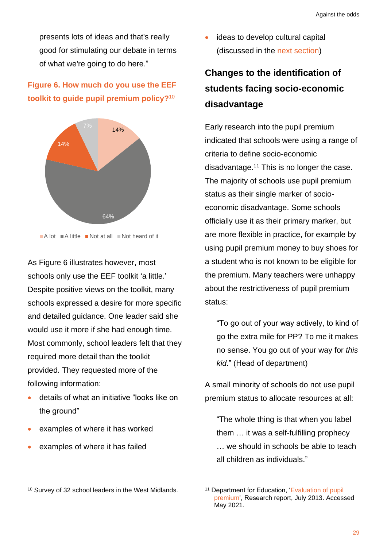presents lots of ideas and that's really good for stimulating our debate in terms of what we're going to do here."

#### <span id="page-32-0"></span>**Figure 6. How much do you use the EEF toolkit to guide pupil premium policy?**<sup>10</sup>



As Figure 6 illustrates however, most schools only use the EEF toolkit 'a little.' Despite positive views on the toolkit, many schools expressed a desire for more specific and detailed guidance. One leader said she would use it more if she had enough time. Most commonly, school leaders felt that they required more detail than the toolkit provided. They requested more of the following information:

- details of what an initiative "looks like on the ground"
- examples of where it has worked
- examples of where it has failed

ideas to develop cultural capital (discussed in the [next section\)](#page-34-0)

### <span id="page-32-1"></span>**Changes to the identification of students facing socio-economic disadvantage**

Early research into the pupil premium indicated that schools were using a range of criteria to define socio-economic disadvantage.<sup>11</sup> This is no longer the case. The majority of schools use pupil premium status as their single marker of socioeconomic disadvantage. Some schools officially use it as their primary marker, but are more flexible in practice, for example by using pupil premium money to buy shoes for a student who is not known to be eligible for the premium. Many teachers were unhappy about the restrictiveness of pupil premium status:

"To go out of your way actively, to kind of go the extra mile for PP? To me it makes no sense. You go out of your way for *this kid*." (Head of department)

A small minority of schools do not use pupil premium status to allocate resources at all:

"The whole thing is that when you label them … it was a self-fulfilling prophecy … we should in schools be able to teach all children as individuals."

<sup>10</sup> Survey of 32 school leaders in the West Midlands.

<sup>&</sup>lt;sup>11</sup> Department for Education, 'Evaluation of pupil [premium',](https://www.gov.uk/government/publications/evaluation-of-pupil-premium) Research report, July 2013. Accessed May 2021.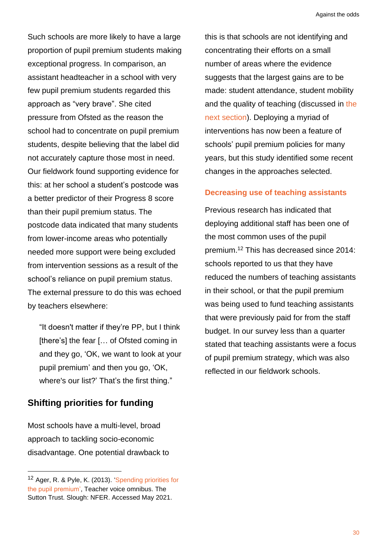Such schools are more likely to have a large proportion of pupil premium students making exceptional progress. In comparison, an assistant headteacher in a school with very few pupil premium students regarded this approach as "very brave". She cited pressure from Ofsted as the reason the school had to concentrate on pupil premium students, despite believing that the label did not accurately capture those most in need. Our fieldwork found supporting evidence for this: at her school a student's postcode was a better predictor of their Progress 8 score than their pupil premium status. The postcode data indicated that many students from lower-income areas who potentially needed more support were being excluded from intervention sessions as a result of the school's reliance on pupil premium status. The external pressure to do this was echoed by teachers elsewhere:

"It doesn't matter if they're PP, but I think [there's] the fear [... of Ofsted coming in and they go, 'OK, we want to look at your pupil premium' and then you go, 'OK, where's our list?' That's the first thing."

#### **Shifting priorities for funding**

Most schools have a multi-level, broad approach to tackling socio-economic disadvantage. One potential drawback to this is that schools are not identifying and concentrating their efforts on a small number of areas where the evidence suggests that the largest gains are to be made: student attendance, student mobility and [the](#page-38-0) quality of teaching (discussed in the next [section\)](#page-38-0). Deploying a myriad of interventions has now been a feature of schools' pupil premium policies for many years, but this study identified some recent changes in the approaches selected.

#### **Decreasing use of teaching assistants**

Previous research has indicated that deploying additional staff has been one of the most common uses of the pupil premium. <sup>12</sup> This has decreased since 2014: schools reported to us that they have reduced the numbers of teaching assistants in their school, or that the pupil premium was being used to fund teaching assistants that were previously paid for from the staff budget. In our survey less than a quarter stated that teaching assistants were a focus of pupil premium strategy, which was also reflected in our fieldwork schools.

<sup>12</sup> Ager, R. & Pyle, K. (2013). ['Spending priorities for](https://www.nfer.ac.uk/publications/99929/99929.pdf)  [the pupil premium',](https://www.nfer.ac.uk/publications/99929/99929.pdf) Teacher voice omnibus. The Sutton Trust. Slough: NFER. Accessed May 2021.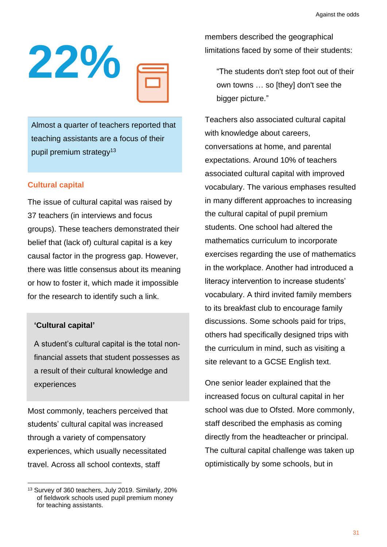

Almost a quarter of teachers reported that teaching assistants are a focus of their pupil premium strategy<sup>13</sup>

#### <span id="page-34-0"></span>**Cultural capital**

The issue of cultural capital was raised by 37 teachers (in interviews and focus groups). These teachers demonstrated their belief that (lack of) cultural capital is a key causal factor in the progress gap. However, there was little consensus about its meaning or how to foster it, which made it impossible for the research to identify such a link.

#### **'Cultural capital'**

A student's cultural capital is the total nonfinancial assets that student possesses as a result of their cultural knowledge and experiences

Most commonly, teachers perceived that students' cultural capital was increased through a variety of compensatory experiences, which usually necessitated travel. Across all school contexts, staff

members described the geographical limitations faced by some of their students:

"The students don't step foot out of their own towns … so [they] don't see the bigger picture."

Teachers also associated cultural capital with knowledge about careers, conversations at home, and parental expectations. Around 10% of teachers associated cultural capital with improved vocabulary. The various emphases resulted in many different approaches to increasing the cultural capital of pupil premium students. One school had altered the mathematics curriculum to incorporate exercises regarding the use of mathematics in the workplace. Another had introduced a literacy intervention to increase students' vocabulary. A third invited family members to its breakfast club to encourage family discussions. Some schools paid for trips, others had specifically designed trips with the curriculum in mind, such as visiting a site relevant to a GCSE English text.

One senior leader explained that the increased focus on cultural capital in her school was due to Ofsted. More commonly, staff described the emphasis as coming directly from the headteacher or principal. The cultural capital challenge was taken up optimistically by some schools, but in

<sup>13</sup> Survey of 360 teachers, July 2019. Similarly, 20% of fieldwork schools used pupil premium money for teaching assistants.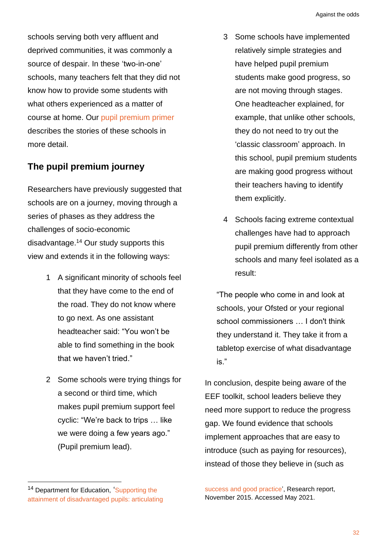schools serving both very affluent and deprived communities, it was commonly a source of despair. In these 'two-in-one' schools, many teachers felt that they did not know how to provide some students with what others experienced as a matter of course at home. Our [pupil premium primer](http://educationobservatory.co.uk/pupilpremiumprimer/) describes the stories of these schools in more detail.

#### **The pupil premium journey**

Researchers have previously suggested that schools are on a journey, moving through a series of phases as they address the challenges of socio-economic disadvantage. <sup>14</sup> Our study supports this view and extends it in the following ways:

- 1 A significant minority of schools feel that they have come to the end of the road. They do not know where to go next. As one assistant headteacher said: "You won't be able to find something in the book that we haven't tried."
- 2 Some schools were trying things for a second or third time, which makes pupil premium support feel cyclic: "We're back to trips … like we were doing a few years ago." (Pupil premium lead).
- 3 Some schools have implemented relatively simple strategies and have helped pupil premium students make good progress, so are not moving through stages. One headteacher explained, for example, that unlike other schools, they do not need to try out the 'classic classroom' approach. In this school, pupil premium students are making good progress without their teachers having to identify them explicitly.
- 4 Schools facing extreme contextual challenges have had to approach pupil premium differently from other schools and many feel isolated as a result:

"The people who come in and look at schools, your Ofsted or your regional school commissioners … I don't think they understand it. They take it from a tabletop exercise of what disadvantage is."

In conclusion, despite being aware of the EEF toolkit, school leaders believe they need more support to reduce the progress gap. We found evidence that schools implement approaches that are easy to introduce (such as paying for resources), instead of those they believe in (such as

<sup>14</sup> Department for Education, Supporting the [attainment of disadvantaged pupils: articulating](https://assets.publishing.service.gov.uk/government/uploads/system/uploads/attachment_data/file/473975/DFE-RB411_Supporting_the_attainment_of_disadvantaged_pupils_brief.pdf) 

[success and good practice'](https://assets.publishing.service.gov.uk/government/uploads/system/uploads/attachment_data/file/473975/DFE-RB411_Supporting_the_attainment_of_disadvantaged_pupils_brief.pdf), Research report, November 2015. Accessed May 2021.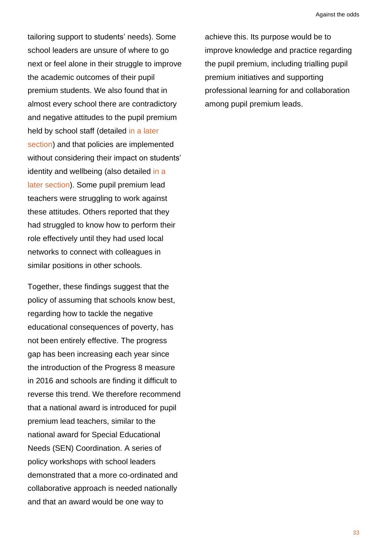tailoring support to students' needs). Some school leaders are unsure of where to go next or feel alone in their struggle to improve the academic outcomes of their pupil premium students. We also found that in almost every school there are contradictory and negative attitudes to the pupil premium held by school staff (detailed [in a later](#page-67-0)  [section\)](#page-67-0) and that policies are implemented without considering their impact on students' identity and wellbeing (also detailed [in a](#page-69-0) [later section\)](#page-69-0). Some pupil premium lead teachers were struggling to work against these attitudes. Others reported that they had struggled to know how to perform their role effectively until they had used local networks to connect with colleagues in similar positions in other schools.

Together, these findings suggest that the policy of assuming that schools know best, regarding how to tackle the negative educational consequences of poverty, has not been entirely effective. The progress gap has been increasing each year since the introduction of the Progress 8 measure in 2016 and schools are finding it difficult to reverse this trend. We therefore recommend that a national award is introduced for pupil premium lead teachers, similar to the national award for Special Educational Needs (SEN) Coordination. A series of policy workshops with school leaders demonstrated that a more co-ordinated and collaborative approach is needed nationally and that an award would be one way to

achieve this. Its purpose would be to improve knowledge and practice regarding the pupil premium, including trialling pupil premium initiatives and supporting professional learning for and collaboration among pupil premium leads.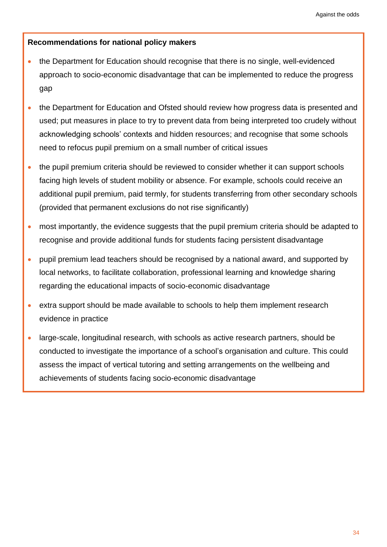## **Recommendations for national policy makers**

- the Department for Education should recognise that there is no single, well-evidenced approach to socio-economic disadvantage that can be implemented to reduce the progress gap
- the Department for Education and Ofsted should review how progress data is presented and used; put measures in place to try to prevent data from being interpreted too crudely without acknowledging schools' contexts and hidden resources; and recognise that some schools need to refocus pupil premium on a small number of critical issues
- the pupil premium criteria should be reviewed to consider whether it can support schools facing high levels of student mobility or absence. For example, schools could receive an additional pupil premium, paid termly, for students transferring from other secondary schools (provided that permanent exclusions do not rise significantly)
- most importantly, the evidence suggests that the pupil premium criteria should be adapted to recognise and provide additional funds for students facing persistent disadvantage
- pupil premium lead teachers should be recognised by a national award, and supported by local networks, to facilitate collaboration, professional learning and knowledge sharing regarding the educational impacts of socio-economic disadvantage
- extra support should be made available to schools to help them implement research evidence in practice
- large-scale, longitudinal research, with schools as active research partners, should be conducted to investigate the importance of a school's organisation and culture. This could assess the impact of vertical tutoring and setting arrangements on the wellbeing and achievements of students facing socio-economic disadvantage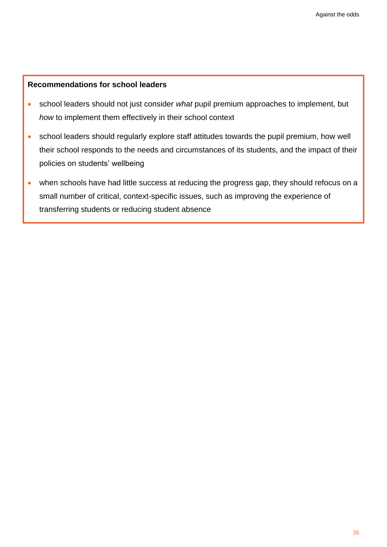#### **Recommendations for school leaders**

- school leaders should not just consider *what* pupil premium approaches to implement, but *how* to implement them effectively in their school context
- school leaders should regularly explore staff attitudes towards the pupil premium, how well their school responds to the needs and circumstances of its students, and the impact of their policies on students' wellbeing
- when schools have had little success at reducing the progress gap, they should refocus on a small number of critical, context-specific issues, such as improving the experience of transferring students or reducing student absence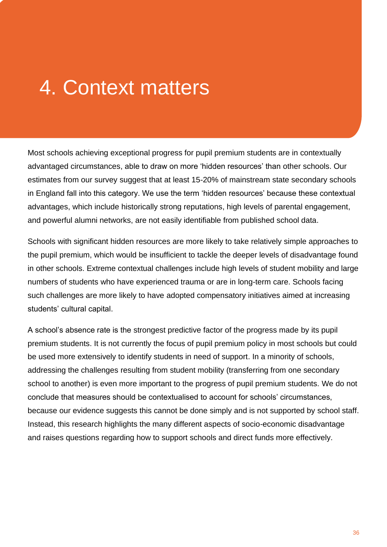# 4. Context matters

Most schools achieving exceptional progress for pupil premium students are in contextually advantaged circumstances, able to draw on more 'hidden resources' than other schools. Our estimates from our survey suggest that at least 15-20% of mainstream state secondary schools in England fall into this category. We use the term 'hidden resources' because these contextual advantages, which include historically strong reputations, high levels of parental engagement, and powerful alumni networks, are not easily identifiable from published school data.

Schools with significant hidden resources are more likely to take relatively simple approaches to the pupil premium, which would be insufficient to tackle the deeper levels of disadvantage found in other schools. Extreme contextual challenges include high levels of student mobility and large numbers of students who have experienced trauma or are in long-term care. Schools facing such challenges are more likely to have adopted compensatory initiatives aimed at increasing students' cultural capital.

A school's absence rate is the strongest predictive factor of the progress made by its pupil premium students. It is not currently the focus of pupil premium policy in most schools but could be used more extensively to identify students in need of support. In a minority of schools, addressing the challenges resulting from student mobility (transferring from one secondary school to another) is even more important to the progress of pupil premium students. We do not conclude that measures should be contextualised to account for schools' circumstances, because our evidence suggests this cannot be done simply and is not supported by school staff. Instead, this research highlights the many different aspects of socio-economic disadvantage and raises questions regarding how to support schools and direct funds more effectively.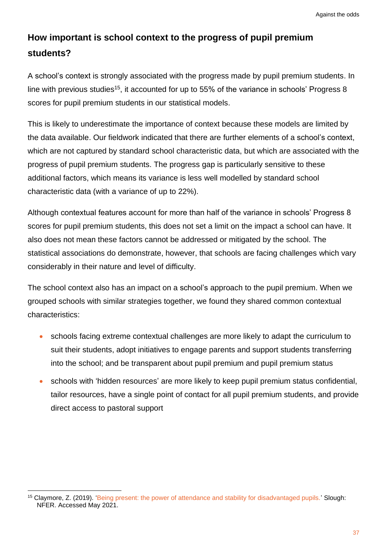# **How important is school context to the progress of pupil premium students?**

A school's context is strongly associated with the progress made by pupil premium students. In line with previous studies<sup>15</sup>, it accounted for up to 55% of the variance in schools' Progress 8 scores for pupil premium students in our statistical models.

This is likely to underestimate the importance of context because these models are limited by the data available. Our fieldwork indicated that there are further elements of a school's context, which are not captured by standard school characteristic data, but which are associated with the progress of pupil premium students. The progress gap is particularly sensitive to these additional factors, which means its variance is less well modelled by standard school characteristic data (with a variance of up to 22%).

Although contextual features account for more than half of the variance in schools' Progress 8 scores for pupil premium students, this does not set a limit on the impact a school can have. It also does not mean these factors cannot be addressed or mitigated by the school. The statistical associations do demonstrate, however, that schools are facing challenges which vary considerably in their nature and level of difficulty.

The school context also has an impact on a school's approach to the pupil premium. When we grouped schools with similar strategies together, we found they shared common contextual characteristics:

- schools facing extreme contextual challenges are more likely to adapt the curriculum to suit their students, adopt initiatives to engage parents and support students transferring into the school; and be transparent about pupil premium and pupil premium status
- schools with 'hidden resources' are more likely to keep pupil premium status confidential, tailor resources, have a single point of contact for all pupil premium students, and provide direct access to pastoral support

<sup>&</sup>lt;sup>15</sup> Claymore, Z. (2019). ['Being present: the power of attendance and stability for disadvantaged pupils.'](https://www.nfer.ac.uk/being-present-the-power-of-attendance-and-stability-for-disadvantaged-pupils/) Slough: NFER. Accessed May 2021.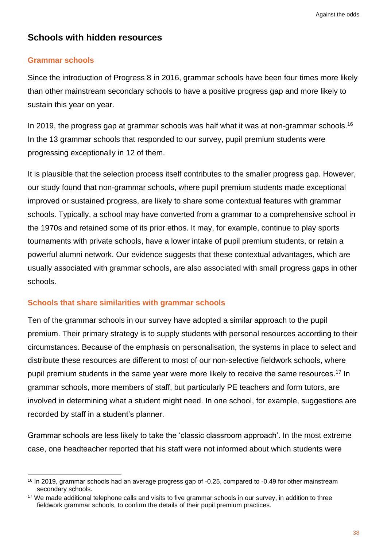## **Schools with hidden resources**

#### **Grammar schools**

Since the introduction of Progress 8 in 2016, grammar schools have been four times more likely than other mainstream secondary schools to have a positive progress gap and more likely to sustain this year on year.

In 2019, the progress gap at grammar schools was half what it was at non-grammar schools.<sup>16</sup> In the 13 grammar schools that responded to our survey, pupil premium students were progressing exceptionally in 12 of them.

It is plausible that the selection process itself contributes to the smaller progress gap. However, our study found that non-grammar schools, where pupil premium students made exceptional improved or sustained progress, are likely to share some contextual features with grammar schools. Typically, a school may have converted from a grammar to a comprehensive school in the 1970s and retained some of its prior ethos. It may, for example, continue to play sports tournaments with private schools, have a lower intake of pupil premium students, or retain a powerful alumni network. Our evidence suggests that these contextual advantages, which are usually associated with grammar schools, are also associated with small progress gaps in other schools.

#### **Schools that share similarities with grammar schools**

Ten of the grammar schools in our survey have adopted a similar approach to the pupil premium. Their primary strategy is to supply students with personal resources according to their circumstances. Because of the emphasis on personalisation, the systems in place to select and distribute these resources are different to most of our non-selective fieldwork schools, where pupil premium students in the same year were more likely to receive the same resources.<sup>17</sup> In grammar schools, more members of staff, but particularly PE teachers and form tutors, are involved in determining what a student might need. In one school, for example, suggestions are recorded by staff in a student's planner.

Grammar schools are less likely to take the 'classic classroom approach'. In the most extreme case, one headteacher reported that his staff were not informed about which students were

<sup>16</sup> In 2019, grammar schools had an average progress gap of -0.25, compared to -0.49 for other mainstream secondary schools.

<sup>&</sup>lt;sup>17</sup> We made additional telephone calls and visits to five grammar schools in our survey, in addition to three fieldwork grammar schools, to confirm the details of their pupil premium practices.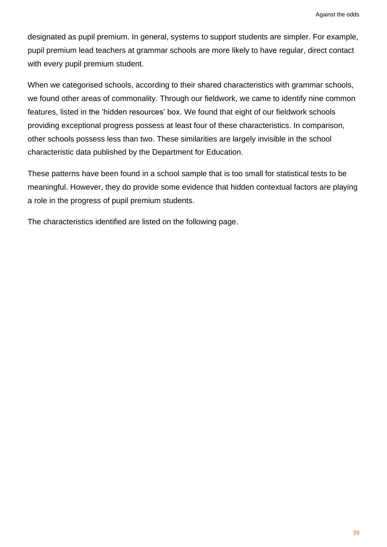designated as pupil premium. In general, systems to support students are simpler. For example, pupil premium lead teachers at grammar schools are more likely to have regular, direct contact with every pupil premium student.

When we categorised schools, according to their shared characteristics with grammar schools, we found other areas of commonality. Through our fieldwork, we came to identify nine common features, listed in the 'hidden resources' box. We found that eight of our fieldwork schools providing exceptional progress possess at least four of these characteristics. In comparison, other schools possess less than two. These similarities are largely invisible in the school characteristic data published by the Department for Education.

These patterns have been found in a school sample that is too small for statistical tests to be meaningful. However, they do provide some evidence that hidden contextual factors are playing a role in the progress of pupil premium students.

The characteristics identified are listed on the following page.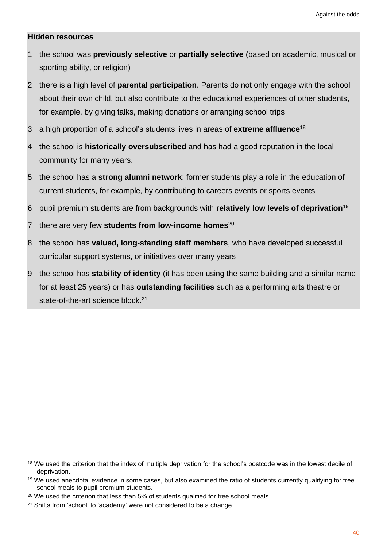#### **Hidden resources**

- 1 the school was **previously selective** or **partially selective** (based on academic, musical or sporting ability, or religion)
- 2 there is a high level of **parental participation**. Parents do not only engage with the school about their own child, but also contribute to the educational experiences of other students, for example, by giving talks, making donations or arranging school trips
- 3 a high proportion of a school's students lives in areas of **extreme affluence**<sup>18</sup>
- 4 the school is **historically oversubscribed** and has had a good reputation in the local community for many years.
- 5 the school has a **strong alumni network**: former students play a role in the education of current students, for example, by contributing to careers events or sports events
- 6 pupil premium students are from backgrounds with **relatively low levels of deprivation**<sup>19</sup>
- 7 there are very few **students from low-income homes**<sup>20</sup>
- 8 the school has **valued, long-standing staff members**, who have developed successful curricular support systems, or initiatives over many years
- 9 the school has **stability of identity** (it has been using the same building and a similar name for at least 25 years) or has **outstanding facilities** such as a performing arts theatre or state-of-the-art science block.<sup>21</sup>

<sup>&</sup>lt;sup>18</sup> We used the criterion that the index of multiple deprivation for the school's postcode was in the lowest decile of deprivation.

<sup>&</sup>lt;sup>19</sup> We used anecdotal evidence in some cases, but also examined the ratio of students currently qualifying for free school meals to pupil premium students.

<sup>&</sup>lt;sup>20</sup> We used the criterion that less than 5% of students qualified for free school meals.

<sup>&</sup>lt;sup>21</sup> Shifts from 'school' to 'academy' were not considered to be a change.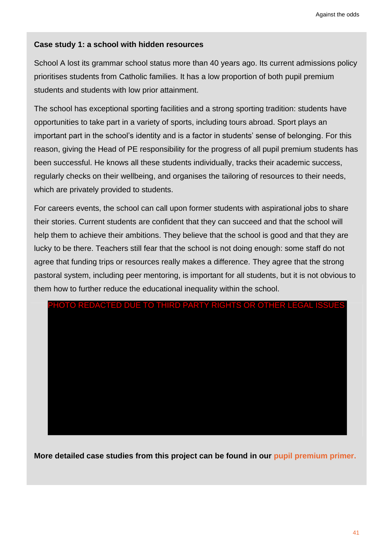## **Case study 1: a school with hidden resources**

School A lost its grammar school status more than 40 years ago. Its current admissions policy prioritises students from Catholic families. It has a low proportion of both pupil premium students and students with low prior attainment.

The school has exceptional sporting facilities and a strong sporting tradition: students have opportunities to take part in a variety of sports, including tours abroad. Sport plays an important part in the school's identity and is a factor in students' sense of belonging. For this reason, giving the Head of PE responsibility for the progress of all pupil premium students has been successful. He knows all these students individually, tracks their academic success, regularly checks on their wellbeing, and organises the tailoring of resources to their needs, which are privately provided to students.

For careers events, the school can call upon former students with aspirational jobs to share their stories. Current students are confident that they can succeed and that the school will help them to achieve their ambitions. They believe that the school is good and that they are lucky to be there. Teachers still fear that the school is not doing enough: some staff do not agree that funding trips or resources really makes a difference. They agree that the strong pastoral system, including peer mentoring, is important for all students, but it is not obvious to them how to further reduce the educational inequality within the school.



**More detailed case studies from this project can be found in our [pupil premium primer.](http://educationobservatory.co.uk/pupilpremiumprimer/)**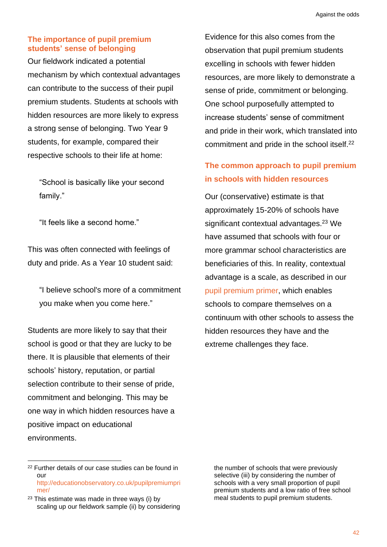## **The importance of pupil premium students' sense of belonging**

Our fieldwork indicated a potential mechanism by which contextual advantages can contribute to the success of their pupil premium students. Students at schools with hidden resources are more likely to express a strong sense of belonging. Two Year 9 students, for example, compared their respective schools to their life at home:

"School is basically like your second family."

"It feels like a second home."

This was often connected with feelings of duty and pride. As a Year 10 student said:

"I believe school's more of a commitment you make when you come here."

Students are more likely to say that their school is good or that they are lucky to be there. It is plausible that elements of their schools' history, reputation, or partial selection contribute to their sense of pride, commitment and belonging. This may be one way in which hidden resources have a positive impact on educational environments.

Evidence for this also comes from the observation that pupil premium students excelling in schools with fewer hidden resources, are more likely to demonstrate a sense of pride, commitment or belonging. One school purposefully attempted to increase students' sense of commitment and pride in their work, which translated into commitment and pride in the school itself.<sup>22</sup>

## **The common approach to pupil premium in schools with hidden resources**

Our (conservative) estimate is that approximately 15-20% of schools have significant contextual advantages.<sup>23</sup> We have assumed that schools with four or more grammar school characteristics are beneficiaries of this. In reality, contextual advantage is a scale, as described in our [pupil premium primer,](http://educationobservatory.co.uk/pupilpremiumprimer/) which enables schools to compare themselves on a continuum with other schools to assess the hidden resources they have and the extreme challenges they face.

the number of schools that were previously selective (iii) by considering the number of schools with a very small proportion of pupil premium students and a low ratio of free school meal students to pupil premium students.

<sup>22</sup> Further details of our case studies can be found in our [http://educationobservatory.co.uk/pupilpremiumpri](http://educationobservatory.co.uk/pupilpremiumprimer/) [mer/](http://educationobservatory.co.uk/pupilpremiumprimer/)

 $23$  This estimate was made in three ways (i) by scaling up our fieldwork sample (ii) by considering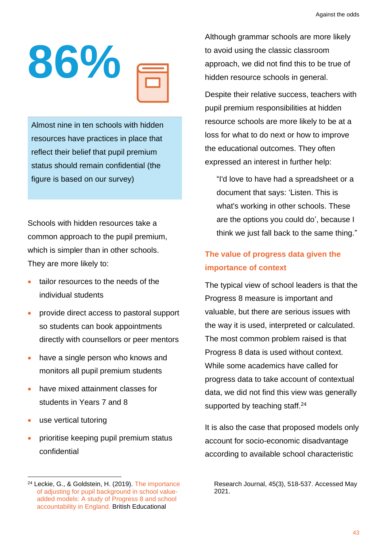

Almost nine in ten schools with hidden resources have practices in place that reflect their belief that pupil premium status should remain confidential (the figure is based on our survey)

Schools with hidden resources take a common approach to the pupil premium, which is simpler than in other schools. They are more likely to:

- tailor resources to the needs of the individual students
- provide direct access to pastoral support so students can book appointments directly with counsellors or peer mentors
- have a single person who knows and monitors all pupil premium students
- have mixed attainment classes for students in Years 7 and 8
- use vertical tutoring
- prioritise keeping pupil premium status confidential

Although grammar schools are more likely to avoid using the classic classroom approach, we did not find this to be true of hidden resource schools in general.

Despite their relative success, teachers with pupil premium responsibilities at hidden resource schools are more likely to be at a loss for what to do next or how to improve the educational outcomes. They often expressed an interest in further help:

"I'd love to have had a spreadsheet or a document that says: 'Listen. This is what's working in other schools. These are the options you could do', because I think we just fall back to the same thing."

# **The value of progress data given the importance of context**

The typical view of school leaders is that the Progress 8 measure is important and valuable, but there are serious issues with the way it is used, interpreted or calculated. The most common problem raised is that Progress 8 data is used without context. While some academics have called for progress data to take account of contextual data, we did not find this view was generally supported by teaching staff.<sup>24</sup>

It is also the case that proposed models only account for socio-economic disadvantage according to available school characteristic

Research Journal, 45(3), 518-537. Accessed May 2021.

<sup>24</sup> Leckie, G., & Goldstein, H. (2019). [The importance](https://bera-journals.onlinelibrary.wiley.com/doi/10.1002/berj.3511)  [of adjusting for pupil background in school value](https://bera-journals.onlinelibrary.wiley.com/doi/10.1002/berj.3511)‐ [added models: A study of Progress 8 and school](https://bera-journals.onlinelibrary.wiley.com/doi/10.1002/berj.3511)  [accountability in England.](https://bera-journals.onlinelibrary.wiley.com/doi/10.1002/berj.3511) British Educational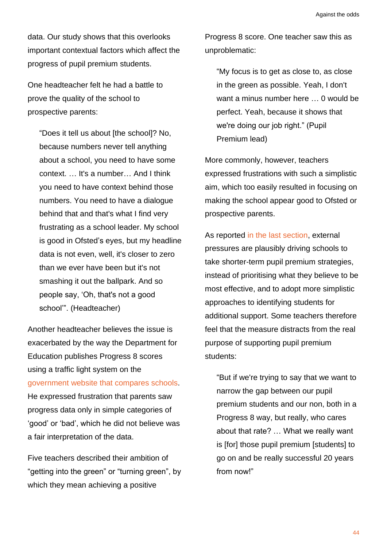data. Our study shows that this overlooks important contextual factors which affect the progress of pupil premium students.

One headteacher felt he had a battle to prove the quality of the school to prospective parents:

"Does it tell us about [the school]? No, because numbers never tell anything about a school, you need to have some context. … It's a number… And I think you need to have context behind those numbers. You need to have a dialogue behind that and that's what I find very frustrating as a school leader. My school is good in Ofsted's eyes, but my headline data is not even, well, it's closer to zero than we ever have been but it's not smashing it out the ballpark. And so people say, 'Oh, that's not a good school'". (Headteacher)

Another headteacher believes the issue is exacerbated by the way the Department for Education publishes Progress 8 scores using a traffic light system on the government website [that compares schools.](https://www.compare-school-performance.service.gov.uk/schools-by-type?step=default&table=schools&phase=secondary&for=secondary&page=59&BasedOn=Progress+8+by+subject+group&Show=All+pupils) He expressed frustration that parents saw progress data only in simple categories of 'good' or 'bad', which he did not believe was a fair interpretation of the data.

Five teachers described their ambition of "getting into the green" or "turning green", by which they mean achieving a positive

Progress 8 score. One teacher saw this as unproblematic:

"My focus is to get as close to, as close in the green as possible. Yeah, I don't want a minus number here … 0 would be perfect. Yeah, because it shows that we're doing our job right." (Pupil Premium lead)

More commonly, however, teachers expressed frustrations with such a simplistic aim, which too easily resulted in focusing on making the school appear good to Ofsted or prospective parents.

As reported [in the last section,](#page-26-0) external pressures are plausibly driving schools to take shorter-term pupil premium strategies, instead of prioritising what they believe to be most effective, and to adopt more simplistic approaches to identifying students for additional support. Some teachers therefore feel that the measure distracts from the real purpose of supporting pupil premium students:

"But if we're trying to say that we want to narrow the gap between our pupil premium students and our non, both in a Progress 8 way, but really, who cares about that rate? … What we really want is [for] those pupil premium [students] to go on and be really successful 20 years from now!"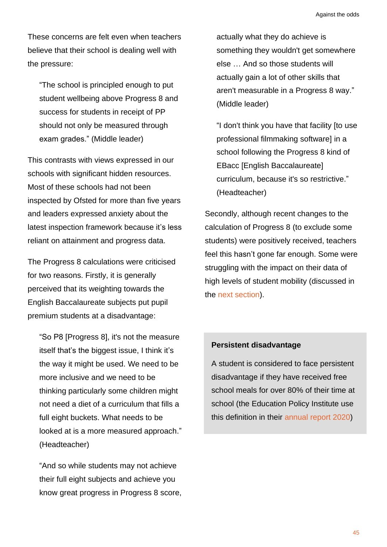These concerns are felt even when teachers believe that their school is dealing well with the pressure:

"The school is principled enough to put student wellbeing above Progress 8 and success for students in receipt of PP should not only be measured through exam grades." (Middle leader)

This contrasts with views expressed in our schools with significant hidden resources. Most of these schools had not been inspected by Ofsted for more than five years and leaders expressed anxiety about the latest inspection framework because it's less reliant on attainment and progress data.

The Progress 8 calculations were criticised for two reasons. Firstly, it is generally perceived that its weighting towards the English Baccalaureate subjects put pupil premium students at a disadvantage:

"So P8 [Progress 8], it's not the measure itself that's the biggest issue, I think it's the way it might be used. We need to be more inclusive and we need to be thinking particularly some children might not need a diet of a curriculum that fills a full eight buckets. What needs to be looked at is a more measured approach." (Headteacher)

"And so while students may not achieve their full eight subjects and achieve you know great progress in Progress 8 score, actually what they do achieve is something they wouldn't get somewhere else … And so those students will actually gain a lot of other skills that aren't measurable in a Progress 8 way." (Middle leader)

"I don't think you have that facility [to use professional filmmaking software] in a school following the Progress 8 kind of EBacc [English Baccalaureate] curriculum, because it's so restrictive." (Headteacher)

Secondly, although recent changes to the calculation of Progress 8 (to exclude some students) were positively received, teachers feel this hasn't gone far enough. Some were struggling with the impact on their data of high levels of student mobility (discussed in the [next section\)](#page-52-0).

#### **Persistent disadvantage**

A student is considered to face persistent disadvantage if they have received free school meals for over 80% of their time at school (the Education Policy Institute use this definition in their [annual report 2020\)](https://epi.org.uk/publications-and-research/education-in-england-annual-report-2020/)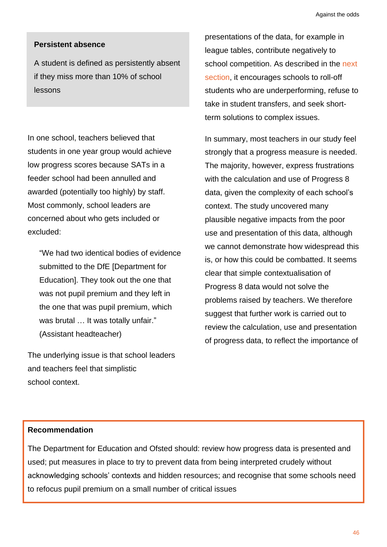#### **Persistent absence**

A student is defined as persistently absent if they miss more than 10% of school lessons

In one school, teachers believed that students in one year group would achieve low progress scores because SATs in a feeder school had been annulled and awarded (potentially too highly) by staff. Most commonly, school leaders are concerned about who gets included or excluded:

"We had two identical bodies of evidence submitted to the DfE [Department for Education]. They took out the one that was not pupil premium and they left in the one that was pupil premium, which was brutal ... It was totally unfair." (Assistant headteacher)

The underlying issue is that school leaders and teachers feel that simplistic school context.

presentations of the data, for example in league tables, contribute negatively to school competition. As described in the next [section,](#page-52-0) it encourages schools to roll-off students who are underperforming, refuse to take in student transfers, and seek shortterm solutions to complex issues.

In summary, most teachers in our study feel strongly that a progress measure is needed. The majority, however, express frustrations with the calculation and use of Progress 8 data, given the complexity of each school's context. The study uncovered many plausible negative impacts from the poor use and presentation of this data, although we cannot demonstrate how widespread this is, or how this could be combatted. It seems clear that simple contextualisation of Progress 8 data would not solve the problems raised by teachers. We therefore suggest that further work is carried out to review the calculation, use and presentation of progress data, to reflect the importance of

#### **Recommendation**

The Department for Education and Ofsted should: review how progress data is presented and used; put measures in place to try to prevent data from being interpreted crudely without acknowledging schools' contexts and hidden resources; and recognise that some schools need to refocus pupil premium on a small number of critical issues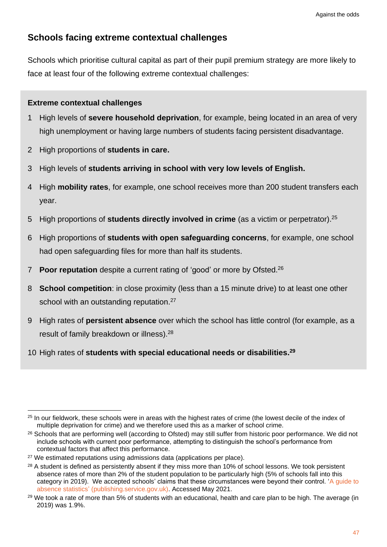## **Schools facing extreme contextual challenges**

Schools which prioritise cultural capital as part of their pupil premium strategy are more likely to face at least four of the following extreme contextual challenges:

## **Extreme contextual challenges**

- 1 High levels of **severe household deprivation**, for example, being located in an area of very high unemployment or having large numbers of students facing persistent disadvantage.
- 2 High proportions of **students in care.**
- 3 High levels of **students arriving in school with very low levels of English.**
- 4 High **mobility rates**, for example, one school receives more than 200 student transfers each year.
- 5 High proportions of **students directly involved in crime** (as a victim or perpetrator). 25
- 6 High proportions of **students with open safeguarding concerns**, for example, one school had open safeguarding files for more than half its students.
- 7 **Poor reputation** despite a current rating of 'good' or more by Ofsted. 26
- 8 **School competition**: in close proximity (less than a 15 minute drive) to at least one other school with an outstanding reputation.<sup>27</sup>
- 9 High rates of **persistent absence** over which the school has little control (for example, as a result of family breakdown or illness).<sup>28</sup>
- 10 High rates of **students with special educational needs or disabilities. 29**

<sup>&</sup>lt;sup>25</sup> In our fieldwork, these schools were in areas with the highest rates of crime (the lowest decile of the index of multiple deprivation for crime) and we therefore used this as a marker of school crime.

<sup>&</sup>lt;sup>26</sup> Schools that are performing well (according to Ofsted) may still suffer from historic poor performance. We did not include schools with current poor performance, attempting to distinguish the school's performance from contextual factors that affect this performance.

<sup>&</sup>lt;sup>27</sup> We estimated reputations using admissions data (applications per place).

<sup>&</sup>lt;sup>28</sup> A student is defined as persistently absent if they miss more than 10% of school lessons. We took persistent absence rates of more than 2% of the student population to be particularly high (5% of schools fall into this category in 2019). We accepted schools' claims that these circumstances were beyond their control. ['A guide to](https://assets.publishing.service.gov.uk/government/uploads/system/uploads/attachment_data/file/787314/Guide_to_absence_statistics_21032019.pdf)  [absence statistics' \(publishing.service.gov.uk\).](https://assets.publishing.service.gov.uk/government/uploads/system/uploads/attachment_data/file/787314/Guide_to_absence_statistics_21032019.pdf) Accessed May 2021.

<sup>&</sup>lt;sup>29</sup> We took a rate of more than 5% of students with an educational, health and care plan to be high. The average (in 2019) was 1.9%.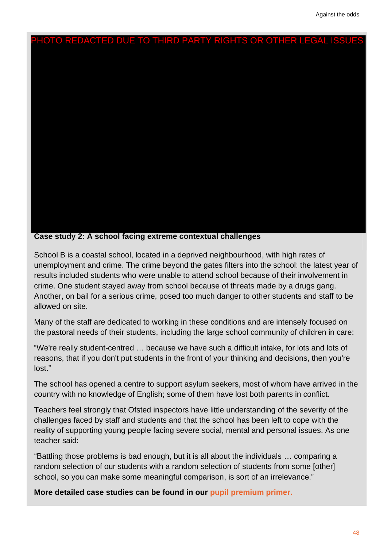

**Case study 2: A school facing extreme contextual challenges**

School B is a coastal school, located in a deprived neighbourhood, with high rates of unemployment and crime. The crime beyond the gates filters into the school: the latest year of results included students who were unable to attend school because of their involvement in crime. One student stayed away from school because of threats made by a drugs gang. Another, on bail for a serious crime, posed too much danger to other students and staff to be allowed on site.

Many of the staff are dedicated to working in these conditions and are intensely focused on the pastoral needs of their students, including the large school community of children in care:

"We're really student-centred … because we have such a difficult intake, for lots and lots of reasons, that if you don't put students in the front of your thinking and decisions, then you're lost."

The school has opened a centre to support asylum seekers, most of whom have arrived in the country with no knowledge of English; some of them have lost both parents in conflict.

Teachers feel strongly that Ofsted inspectors have little understanding of the severity of the challenges faced by staff and students and that the school has been left to cope with the reality of supporting young people facing severe social, mental and personal issues. As one teacher said:

"Battling those problems is bad enough, but it is all about the individuals … comparing a random selection of our students with a random selection of students from some [other] school, so you can make some meaningful comparison, is sort of an irrelevance."

**More detailed case studies can be found in our [pupil premium primer.](http://educationobservatory.co.uk/pupilpremiumprimer/)**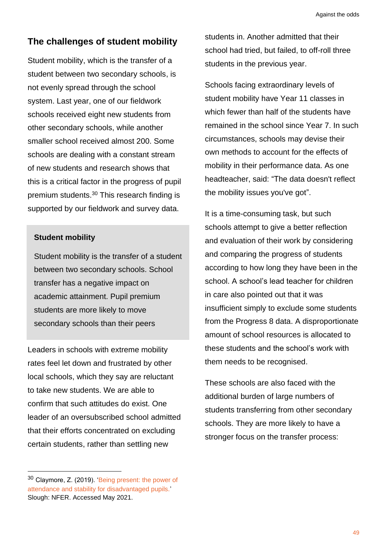## <span id="page-52-0"></span>**The challenges of student mobility**

Student mobility, which is the transfer of a student between two secondary schools, is not evenly spread through the school system. Last year, one of our fieldwork schools received eight new students from other secondary schools, while another smaller school received almost 200. Some schools are dealing with a constant stream of new students and research shows that this is a critical factor in the progress of pupil premium students.<sup>30</sup> This research finding is supported by our fieldwork and survey data.

#### **Student mobility**

Student mobility is the transfer of a student between two secondary schools. School transfer has a negative impact on academic attainment. Pupil premium students are more likely to move secondary schools than their peers

Leaders in schools with extreme mobility rates feel let down and frustrated by other local schools, which they say are reluctant to take new students. We are able to confirm that such attitudes do exist. One leader of an oversubscribed school admitted that their efforts concentrated on excluding certain students, rather than settling new

<sup>30</sup> Claymore, Z. (2019). ['Being present: the power of](https://www.nfer.ac.uk/being-present-the-power-of-attendance-and-stability-for-disadvantaged-pupils/)  [attendance and stability for disadvantaged pupils.'](https://www.nfer.ac.uk/being-present-the-power-of-attendance-and-stability-for-disadvantaged-pupils/)  Slough: NFER. Accessed May 2021.

students in. Another admitted that their school had tried, but failed, to off-roll three students in the previous year.

Schools facing extraordinary levels of student mobility have Year 11 classes in which fewer than half of the students have remained in the school since Year 7. In such circumstances, schools may devise their own methods to account for the effects of mobility in their performance data. As one headteacher, said: "The data doesn't reflect the mobility issues you've got".

It is a time-consuming task, but such schools attempt to give a better reflection and evaluation of their work by considering and comparing the progress of students according to how long they have been in the school. A school's lead teacher for children in care also pointed out that it was insufficient simply to exclude some students from the Progress 8 data. A disproportionate amount of school resources is allocated to these students and the school's work with them needs to be recognised.

These schools are also faced with the additional burden of large numbers of students transferring from other secondary schools. They are more likely to have a stronger focus on the transfer process: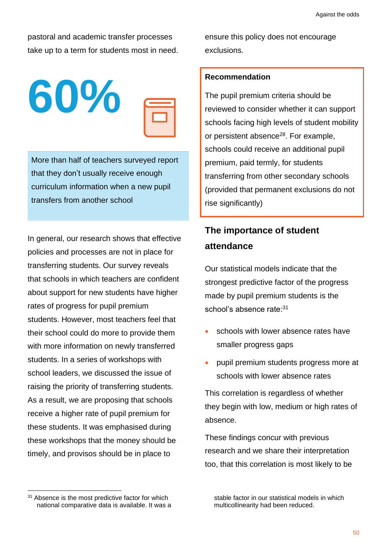pastoral and academic transfer processes take up to a term for students most in need.



More than half of teachers surveyed report that they don't usually receive enough curriculum information when a new pupil transfers from another school

In general, our research shows that effective policies and processes are not in place for transferring students. Our survey reveals that schools in which teachers are confident about support for new students have higher rates of progress for pupil premium students. However, most teachers feel that their school could do more to provide them with more information on newly transferred students. In a series of workshops with school leaders, we discussed the issue of raising the priority of transferring students. As a result, we are proposing that schools receive a higher rate of pupil premium for these students. It was emphasised during these workshops that the money should be timely, and provisos should be in place to

ensure this policy does not encourage exclusions.

## **Recommendation**

The pupil premium criteria should be reviewed to consider whether it can support schools facing high levels of student mobility or persistent absence<sup>28</sup>. For example, schools could receive an additional pupil premium, paid termly, for students transferring from other secondary schools (provided that permanent exclusions do not rise significantly)

# **The importance of student attendance**

Our statistical models indicate that the strongest predictive factor of the progress made by pupil premium students is the school's absence rate:<sup>31</sup>

- schools with lower absence rates have smaller progress gaps
- pupil premium students progress more at schools with lower absence rates

This correlation is regardless of whether they begin with low, medium or high rates of absence.

These findings concur with previous research and we share their interpretation too, that this correlation is most likely to be

stable factor in our statistical models in which multicollinearity had been reduced.

<sup>&</sup>lt;sup>31</sup> Absence is the most predictive factor for which national comparative data is available. It was a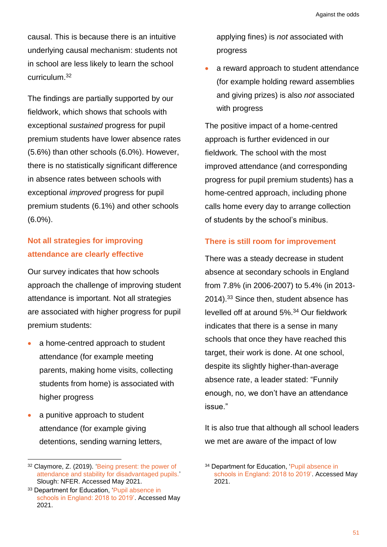causal. This is because there is an intuitive underlying causal mechanism: students not in school are less likely to learn the school curriculum.<sup>32</sup>

The findings are partially supported by our fieldwork, which shows that schools with exceptional *sustained* progress for pupil premium students have lower absence rates (5.6%) than other schools (6.0%). However, there is no statistically significant difference in absence rates between schools with exceptional *improved* progress for pupil premium students (6.1%) and other schools (6.0%).

## **Not all strategies for improving attendance are clearly effective**

Our survey indicates that how schools approach the challenge of improving student attendance is important. Not all strategies are associated with higher progress for pupil premium students:

- a home-centred approach to student attendance (for example meeting parents, making home visits, collecting students from home) is associated with higher progress
- a punitive approach to student attendance (for example giving detentions, sending warning letters,

applying fines) is *not* associated with progress

a reward approach to student attendance (for example holding reward assemblies and giving prizes) is also *not* associated with progress

The positive impact of a home-centred approach is further evidenced in our fieldwork. The school with the most improved attendance (and corresponding progress for pupil premium students) has a home-centred approach, including phone calls home every day to arrange collection of students by the school's minibus.

## **There is still room for improvement**

There was a steady decrease in student absence at secondary schools in England from 7.8% (in 2006-2007) to 5.4% (in 2013- 2014).<sup>33</sup> Since then, student absence has levelled off at around 5%. <sup>34</sup> Our fieldwork indicates that there is a sense in many schools that once they have reached this target, their work is done. At one school, despite its slightly higher-than-average absence rate, a leader stated: "Funnily enough, no, we don't have an attendance issue."

It is also true that although all school leaders we met are aware of the impact of low

<sup>32</sup> Claymore, Z. (2019). ['Being present: the power of](https://www.nfer.ac.uk/being-present-the-power-of-attendance-and-stability-for-disadvantaged-pupils/)  [attendance and stability for disadvantaged pupils.'](https://www.nfer.ac.uk/being-present-the-power-of-attendance-and-stability-for-disadvantaged-pupils/) Slough: NFER. Accessed May 2021.

<sup>33</sup> Department for Education, ['Pupil absence in](https://www.gov.uk/government/statistics/pupil-absence-in-schools-in-england-2018-to-2019)  [schools in England: 2018 to 2019'.](https://www.gov.uk/government/statistics/pupil-absence-in-schools-in-england-2018-to-2019) Accessed May 2021.

<sup>34</sup> Department for Education, ['Pupil absence in](https://www.gov.uk/government/statistics/pupil-absence-in-schools-in-england-2018-to-2019)  [schools in England: 2018 to 2019'.](https://www.gov.uk/government/statistics/pupil-absence-in-schools-in-england-2018-to-2019) Accessed May 2021.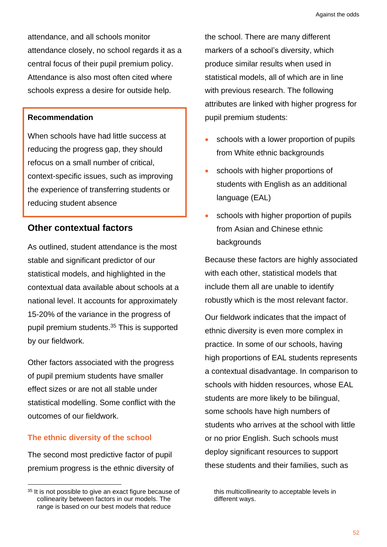attendance, and all schools monitor attendance closely, no school regards it as a central focus of their pupil premium policy. Attendance is also most often cited where schools express a desire for outside help.

#### **Recommendation**

When schools have had little success at reducing the progress gap, they should refocus on a small number of critical, context-specific issues, such as improving the experience of transferring students or reducing student absence

## **Other contextual factors**

As outlined, student attendance is the most stable and significant predictor of our statistical models, and highlighted in the contextual data available about schools at a national level. It accounts for approximately 15-20% of the variance in the progress of pupil premium students.<sup>35</sup> This is supported by our fieldwork.

Other factors associated with the progress of pupil premium students have smaller effect sizes or are not all stable under statistical modelling. Some conflict with the outcomes of our fieldwork.

#### **The ethnic diversity of the school**

The second most predictive factor of pupil premium progress is the ethnic diversity of the school. There are many different markers of a school's diversity, which produce similar results when used in statistical models, all of which are in line with previous research. The following attributes are linked with higher progress for pupil premium students:

- schools with a lower proportion of pupils from White ethnic backgrounds
- schools with higher proportions of students with English as an additional language (EAL)
- schools with higher proportion of pupils from Asian and Chinese ethnic backgrounds

Because these factors are highly associated with each other, statistical models that include them all are unable to identify robustly which is the most relevant factor.

Our fieldwork indicates that the impact of ethnic diversity is even more complex in practice. In some of our schools, having high proportions of EAL students represents a contextual disadvantage. In comparison to schools with hidden resources, whose EAL students are more likely to be bilingual, some schools have high numbers of students who arrives at the school with little or no prior English. Such schools must deploy significant resources to support these students and their families, such as

<sup>&</sup>lt;sup>35</sup> It is not possible to give an exact figure because of collinearity between factors in our models. The range is based on our best models that reduce

this multicollinearity to acceptable levels in different ways.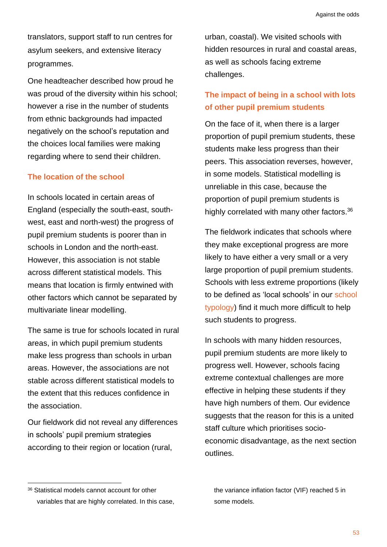translators, support staff to run centres for asylum seekers, and extensive literacy programmes.

One headteacher described how proud he was proud of the diversity within his school; however a rise in the number of students from ethnic backgrounds had impacted negatively on the school's reputation and the choices local families were making regarding where to send their children.

## **The location of the school**

In schools located in certain areas of England (especially the south-east, southwest, east and north-west) the progress of pupil premium students is poorer than in schools in London and the north-east. However, this association is not stable across different statistical models. This means that location is firmly entwined with other factors which cannot be separated by multivariate linear modelling.

The same is true for schools located in rural areas, in which pupil premium students make less progress than schools in urban areas. However, the associations are not stable across different statistical models to the extent that this reduces confidence in the association.

Our fieldwork did not reveal any differences in schools' pupil premium strategies according to their region or location (rural,

urban, coastal). We visited schools with hidden resources in rural and coastal areas, as well as schools facing extreme challenges.

## **The impact of being in a school with lots of other pupil premium students**

On the face of it, when there is a larger proportion of pupil premium students, these students make less progress than their peers. This association reverses, however, in some models. Statistical modelling is unreliable in this case, because the proportion of pupil premium students is highly correlated with many other factors.<sup>36</sup>

The fieldwork indicates that schools where they make exceptional progress are more likely to have either a very small or a very large proportion of pupil premium students. Schools with less extreme proportions (likely to be defined as 'local schools' in our [school](http://educationobservatory.co.uk/pupilpremiumprimer/what-kind-of-school-are-you/)  [typology\)](http://educationobservatory.co.uk/pupilpremiumprimer/what-kind-of-school-are-you/) find it much more difficult to help such students to progress.

In schools with many hidden resources, pupil premium students are more likely to progress well. However, schools facing extreme contextual challenges are more effective in helping these students if they have high numbers of them. Our evidence suggests that the reason for this is a united staff culture which prioritises socioeconomic disadvantage, as the next section outlines.

<sup>36</sup> Statistical models cannot account for other variables that are highly correlated. In this case,

the variance inflation factor (VIF) reached 5 in some models.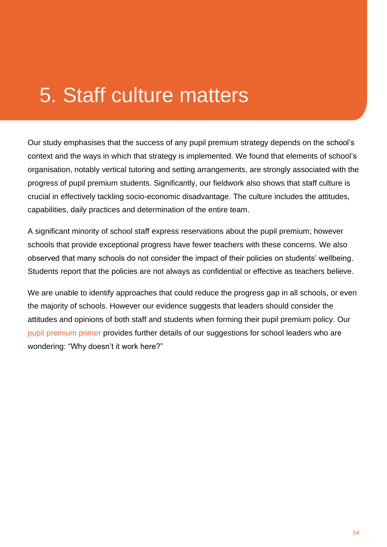# 5. Staff culture matters

Our study emphasises that the success of any pupil premium strategy depends on the school's context and the ways in which that strategy is implemented. We found that elements of school's organisation, notably vertical tutoring and setting arrangements, are strongly associated with the progress of pupil premium students. Significantly, our fieldwork also shows that staff culture is crucial in effectively tackling socio-economic disadvantage. The culture includes the attitudes, capabilities, daily practices and determination of the entire team.

A significant minority of school staff express reservations about the pupil premium; however schools that provide exceptional progress have fewer teachers with these concerns. We also observed that many schools do not consider the impact of their policies on students' wellbeing. Students report that the policies are not always as confidential or effective as teachers believe.

We are unable to identify approaches that could reduce the progress gap in all schools, or even the majority of schools. However our evidence suggests that leaders should consider the attitudes and opinions of both staff and students when forming their pupil premium policy. Our [pupil premium primer](http://educationobservatory.co.uk/pupilpremiumprimer/) provides further details of our suggestions for school leaders who are wondering: "Why doesn't it work here?"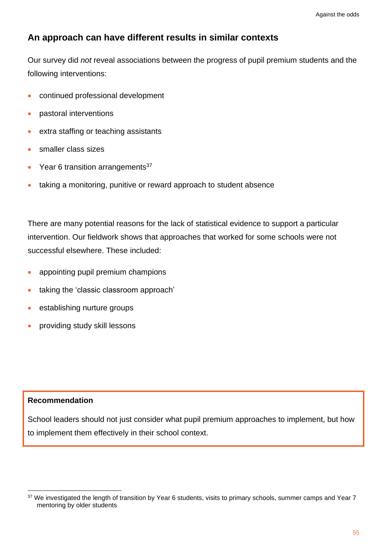## **An approach can have different results in similar contexts**

Our survey did *not* reveal associations between the progress of pupil premium students and the following interventions:

- continued professional development
- pastoral interventions
- extra staffing or teaching assistants
- smaller class sizes
- Year 6 transition arrangements $37$
- taking a monitoring, punitive or reward approach to student absence

There are many potential reasons for the lack of statistical evidence to support a particular intervention. Our fieldwork shows that approaches that worked for some schools were not successful elsewhere. These included:

- appointing pupil premium champions
- taking the 'classic classroom approach'
- establishing nurture groups
- providing study skill lessons

#### **Recommendation**

School leaders should not just consider what pupil premium approaches to implement, but how to implement them effectively in their school context.

<sup>&</sup>lt;sup>37</sup> We investigated the length of transition by Year 6 students, visits to primary schools, summer camps and Year 7 mentoring by older students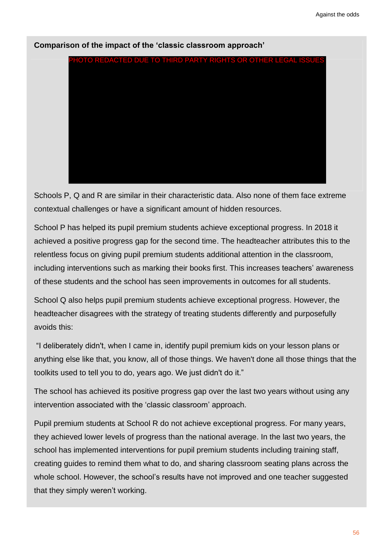

**Comparison of the impact of the 'classic classroom approach'**

Schools P, Q and R are similar in their characteristic data. Also none of them face extreme contextual challenges or have a significant amount of hidden resources.

School P has helped its pupil premium students achieve exceptional progress. In 2018 it achieved a positive progress gap for the second time. The headteacher attributes this to the relentless focus on giving pupil premium students additional attention in the classroom, including interventions such as marking their books first. This increases teachers' awareness of these students and the school has seen improvements in outcomes for all students.

School Q also helps pupil premium students achieve exceptional progress. However, the headteacher disagrees with the strategy of treating students differently and purposefully avoids this:

"I deliberately didn't, when I came in, identify pupil premium kids on your lesson plans or anything else like that, you know, all of those things. We haven't done all those things that the toolkits used to tell you to do, years ago. We just didn't do it."

The school has achieved its positive progress gap over the last two years without using any intervention associated with the 'classic classroom' approach.

Pupil premium students at School R do not achieve exceptional progress. For many years, they achieved lower levels of progress than the national average. In the last two years, the school has implemented interventions for pupil premium students including training staff, creating guides to remind them what to do, and sharing classroom seating plans across the whole school. However, the school's results have not improved and one teacher suggested that they simply weren't working.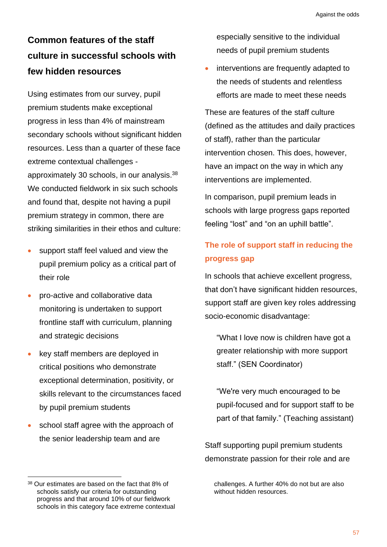# **Common features of the staff culture in successful schools with few hidden resources**

Using estimates from our survey, pupil premium students make exceptional progress in less than 4% of mainstream secondary schools without significant hidden resources. Less than a quarter of these face extreme contextual challenges approximately 30 schools, in our analysis.<sup>38</sup> We conducted fieldwork in six such schools and found that, despite not having a pupil premium strategy in common, there are striking similarities in their ethos and culture:

- support staff feel valued and view the pupil premium policy as a critical part of their role
- pro-active and collaborative data monitoring is undertaken to support frontline staff with curriculum, planning and strategic decisions
- key staff members are deployed in critical positions who demonstrate exceptional determination, positivity, or skills relevant to the circumstances faced by pupil premium students
- school staff agree with the approach of the senior leadership team and are

especially sensitive to the individual needs of pupil premium students

• interventions are frequently adapted to the needs of students and relentless efforts are made to meet these needs

These are features of the staff culture (defined as the attitudes and daily practices of staff), rather than the particular intervention chosen. This does, however, have an impact on the way in which any interventions are implemented.

In comparison, pupil premium leads in schools with large progress gaps reported feeling "lost" and "on an uphill battle".

# **The role of support staff in reducing the progress gap**

In schools that achieve excellent progress, that don't have significant hidden resources, support staff are given key roles addressing socio-economic disadvantage:

"What I love now is children have got a greater relationship with more support staff." (SEN Coordinator)

"We're very much encouraged to be pupil-focused and for support staff to be part of that family." (Teaching assistant)

Staff supporting pupil premium students demonstrate passion for their role and are

challenges. A further 40% do not but are also without hidden resources.

<sup>38</sup> Our estimates are based on the fact that 8% of schools satisfy our criteria for outstanding progress and that around 10% of our fieldwork schools in this category face extreme contextual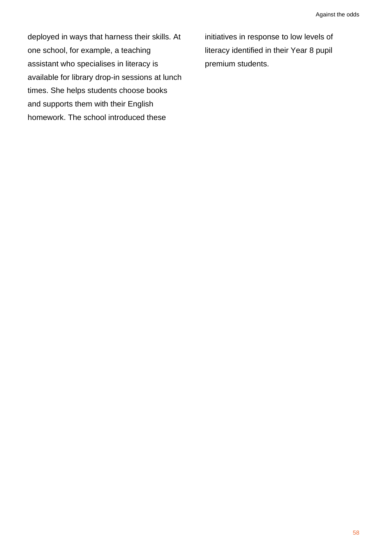deployed in ways that harness their skills. At one school, for example, a teaching assistant who specialises in literacy is available for library drop-in sessions at lunch times. She helps students choose books and supports them with their English homework. The school introduced these

initiatives in response to low levels of literacy identified in their Year 8 pupil premium students.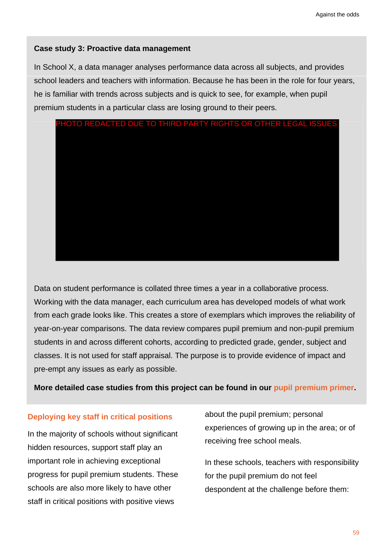#### **Case study 3: Proactive data management**

In School X, a data manager analyses performance data across all subjects, and provides school leaders and teachers with information. Because he has been in the role for four years, he is familiar with trends across subjects and is quick to see, for example, when pupil premium students in a particular class are losing ground to their peers.



Data on student performance is collated three times a year in a collaborative process. Working with the data manager, each curriculum area has developed models of what work from each grade looks like. This creates a store of exemplars which improves the reliability of year-on-year comparisons. The data review compares pupil premium and non-pupil premium students in and across different cohorts, according to predicted grade, gender, subject and classes. It is not used for staff appraisal. The purpose is to provide evidence of impact and pre-empt any issues as early as possible.

**More detailed case studies from this project can be found in our [pupil premium primer.](http://educationobservatory.co.uk/pupilpremiumprimer/)**

## **Deploying key staff in critical positions**

In the majority of schools without significant hidden resources, support staff play an important role in achieving exceptional progress for pupil premium students. These schools are also more likely to have other staff in critical positions with positive views

about the pupil premium; personal experiences of growing up in the area; or of receiving free school meals.

In these schools, teachers with responsibility for the pupil premium do not feel despondent at the challenge before them: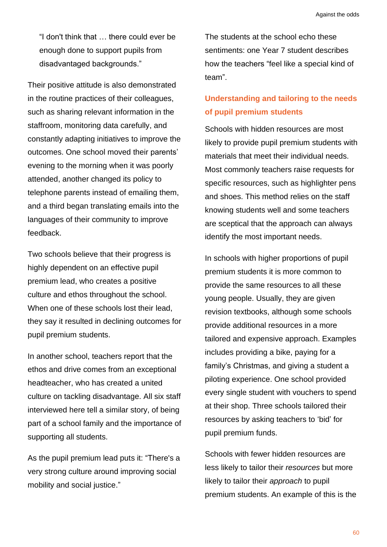"I don't think that … there could ever be enough done to support pupils from disadvantaged backgrounds."

Their positive attitude is also demonstrated in the routine practices of their colleagues, such as sharing relevant information in the staffroom, monitoring data carefully, and constantly adapting initiatives to improve the outcomes. One school moved their parents' evening to the morning when it was poorly attended, another changed its policy to telephone parents instead of emailing them, and a third began translating emails into the languages of their community to improve feedback.

Two schools believe that their progress is highly dependent on an effective pupil premium lead, who creates a positive culture and ethos throughout the school. When one of these schools lost their lead, they say it resulted in declining outcomes for pupil premium students.

In another school, teachers report that the ethos and drive comes from an exceptional headteacher, who has created a united culture on tackling disadvantage. All six staff interviewed here tell a similar story, of being part of a school family and the importance of supporting all students.

As the pupil premium lead puts it: "There's a very strong culture around improving social mobility and social justice."

The students at the school echo these sentiments: one Year 7 student describes how the teachers "feel like a special kind of team".

## **Understanding and tailoring to the needs of pupil premium students**

Schools with hidden resources are most likely to provide pupil premium students with materials that meet their individual needs. Most commonly teachers raise requests for specific resources, such as highlighter pens and shoes. This method relies on the staff knowing students well and some teachers are sceptical that the approach can always identify the most important needs.

In schools with higher proportions of pupil premium students it is more common to provide the same resources to all these young people. Usually, they are given revision textbooks, although some schools provide additional resources in a more tailored and expensive approach. Examples includes providing a bike, paying for a family's Christmas, and giving a student a piloting experience. One school provided every single student with vouchers to spend at their shop. Three schools tailored their resources by asking teachers to 'bid' for pupil premium funds.

Schools with fewer hidden resources are less likely to tailor their *resources* but more likely to tailor their *approach* to pupil premium students. An example of this is the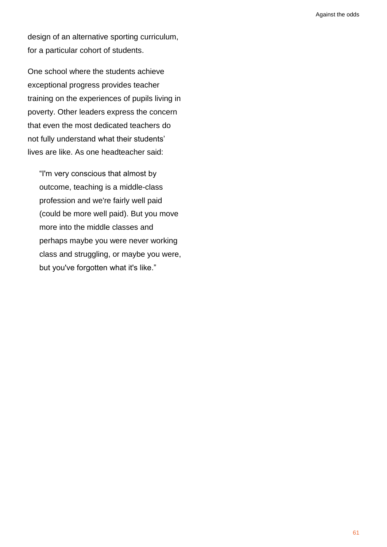design of an alternative sporting curriculum, for a particular cohort of students.

One school where the students achieve exceptional progress provides teacher training on the experiences of pupils living in poverty. Other leaders express the concern that even the most dedicated teachers do not fully understand what their students' lives are like. As one headteacher said:

"I'm very conscious that almost by outcome, teaching is a middle-class profession and we're fairly well paid (could be more well paid). But you move more into the middle classes and perhaps maybe you were never working class and struggling, or maybe you were, but you've forgotten what it's like."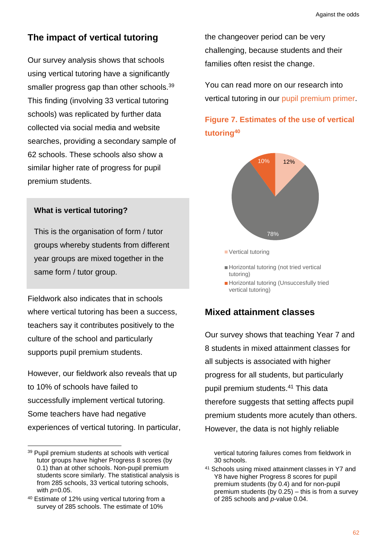## **The impact of vertical tutoring**

Our survey analysis shows that schools using vertical tutoring have a significantly smaller progress gap than other schools.<sup>39</sup> This finding (involving 33 vertical tutoring schools) was replicated by further data collected via social media and website searches, providing a secondary sample of 62 schools. These schools also show a similar higher rate of progress for pupil premium students.

## **What is vertical tutoring?**

This is the organisation of form / tutor groups whereby students from different year groups are mixed together in the same form / tutor group.

Fieldwork also indicates that in schools where vertical tutoring has been a success, teachers say it contributes positively to the culture of the school and particularly supports pupil premium students.

However, our fieldwork also reveals that up to 10% of schools have failed to successfully implement vertical tutoring. Some teachers have had negative experiences of vertical tutoring. In particular, the changeover period can be very challenging, because students and their families often resist the change.

You can read more on our research into vertical tutoring in our [pupil premium primer.](http://educationobservatory.co.uk/pupilpremiumprimer/)

# **Figure 7. Estimates of the use of vertical tutoring<sup>40</sup>**



Horizontal tutoring (Unsuccesfully tried vertical tutoring)

## **Mixed attainment classes**

Our survey shows that teaching Year 7 and 8 students in mixed attainment classes for all subjects is associated with higher progress for all students, but particularly pupil premium students.<sup>41</sup> This data therefore suggests that setting affects pupil premium students more acutely than others. However, the data is not highly reliable

vertical tutoring failures comes from fieldwork in 30 schools.

<sup>41</sup> Schools using mixed attainment classes in Y7 and Y8 have higher Progress 8 scores for pupil premium students (by 0.4) and for non-pupil premium students (by 0.25) – this is from a survey of 285 schools and *p*-value 0.04.

<sup>39</sup> Pupil premium students at schools with vertical tutor groups have higher Progress 8 scores (by 0.1) than at other schools. Non-pupil premium students score similarly. The statistical analysis is from 285 schools, 33 vertical tutoring schools, with *p*=0.05.

<sup>40</sup> Estimate of 12% using vertical tutoring from a survey of 285 schools. The estimate of 10%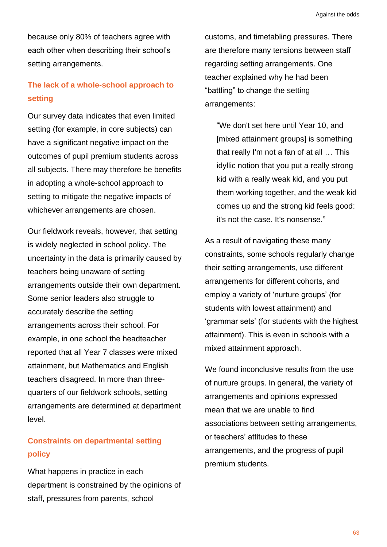because only 80% of teachers agree with each other when describing their school's setting arrangements.

## **The lack of a whole-school approach to setting**

Our survey data indicates that even limited setting (for example, in core subjects) can have a significant negative impact on the outcomes of pupil premium students across all subjects. There may therefore be benefits in adopting a whole-school approach to setting to mitigate the negative impacts of whichever arrangements are chosen.

Our fieldwork reveals, however, that setting is widely neglected in school policy. The uncertainty in the data is primarily caused by teachers being unaware of setting arrangements outside their own department. Some senior leaders also struggle to accurately describe the setting arrangements across their school. For example, in one school the headteacher reported that all Year 7 classes were mixed attainment, but Mathematics and English teachers disagreed. In more than threequarters of our fieldwork schools, setting arrangements are determined at department level.

## **Constraints on departmental setting policy**

What happens in practice in each department is constrained by the opinions of staff, pressures from parents, school

customs, and timetabling pressures. There are therefore many tensions between staff regarding setting arrangements. One teacher explained why he had been "battling" to change the setting arrangements:

"We don't set here until Year 10, and [mixed attainment groups] is something that really I'm not a fan of at all … This idyllic notion that you put a really strong kid with a really weak kid, and you put them working together, and the weak kid comes up and the strong kid feels good: it's not the case. It's nonsense."

As a result of navigating these many constraints, some schools regularly change their setting arrangements, use different arrangements for different cohorts, and employ a variety of 'nurture groups' (for students with lowest attainment) and 'grammar sets' (for students with the highest attainment). This is even in schools with a mixed attainment approach.

We found inconclusive results from the use of nurture groups. In general, the variety of arrangements and opinions expressed mean that we are unable to find associations between setting arrangements, or teachers' attitudes to these arrangements, and the progress of pupil premium students.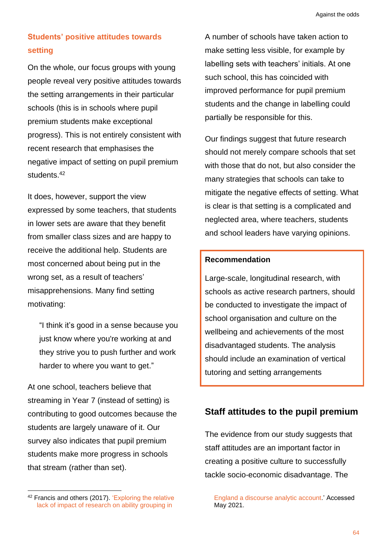## **Students' positive attitudes towards setting**

On the whole, our focus groups with young people reveal very positive attitudes towards the setting arrangements in their particular schools (this is in schools where pupil premium students make exceptional progress). This is not entirely consistent with recent research that emphasises the negative impact of setting on pupil premium students.<sup>42</sup>

It does, however, support the view expressed by some teachers, that students in lower sets are aware that they benefit from smaller class sizes and are happy to receive the additional help. Students are most concerned about being put in the wrong set, as a result of teachers' misapprehensions. Many find setting motivating:

"I think it's good in a sense because you just know where you're working at and they strive you to push further and work harder to where you want to get."

At one school, teachers believe that streaming in Year 7 (instead of setting) is contributing to good outcomes because the students are largely unaware of it. Our survey also indicates that pupil premium students make more progress in schools that stream (rather than set).

A number of schools have taken action to make setting less visible, for example by labelling sets with teachers' initials. At one such school, this has coincided with improved performance for pupil premium students and the change in labelling could partially be responsible for this.

Our findings suggest that future research should not merely compare schools that set with those that do not, but also consider the many strategies that schools can take to mitigate the negative effects of setting. What is clear is that setting is a complicated and neglected area, where teachers, students and school leaders have varying opinions.

## **Recommendation**

<span id="page-67-0"></span>Large-scale, longitudinal research, with schools as active research partners, should be conducted to investigate the impact of school organisation and culture on the wellbeing and achievements of the most disadvantaged students. The analysis should include an examination of vertical tutoring and setting arrangements

## **Staff attitudes to the pupil premium**

The evidence from our study suggests that staff attitudes are an important factor in creating a positive culture to successfully tackle socio-economic disadvantage. The

<sup>42</sup> Francis and others (2017). ['Exploring the relative](https://www.tandfonline.com/doi/abs/10.1080/0305764X.2015.1093095)  [lack of impact of research on ability grouping in](https://www.tandfonline.com/doi/abs/10.1080/0305764X.2015.1093095) 

[England a discourse analytic account.](https://www.tandfonline.com/doi/abs/10.1080/0305764X.2015.1093095)' Accessed May 2021.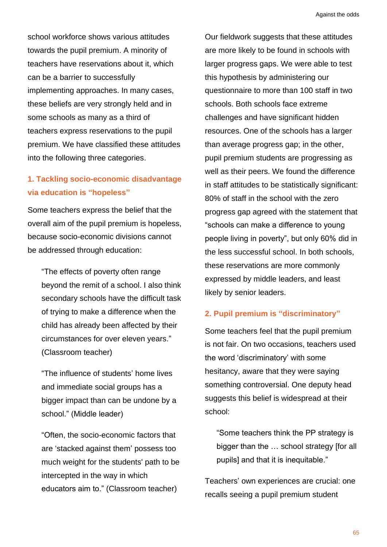school workforce shows various attitudes towards the pupil premium. A minority of teachers have reservations about it, which can be a barrier to successfully implementing approaches. In many cases, these beliefs are very strongly held and in some schools as many as a third of teachers express reservations to the pupil premium. We have classified these attitudes into the following three categories.

## **1. Tackling socio-economic disadvantage via education is "hopeless"**

Some teachers express the belief that the overall aim of the pupil premium is hopeless, because socio-economic divisions cannot be addressed through education:

"The effects of poverty often range beyond the remit of a school. I also think secondary schools have the difficult task of trying to make a difference when the child has already been affected by their circumstances for over eleven years." (Classroom teacher)

"The influence of students' home lives and immediate social groups has a bigger impact than can be undone by a school." (Middle leader)

"Often, the socio-economic factors that are 'stacked against them' possess too much weight for the students' path to be intercepted in the way in which educators aim to." (Classroom teacher)

Our fieldwork suggests that these attitudes are more likely to be found in schools with larger progress gaps. We were able to test this hypothesis by administering our questionnaire to more than 100 staff in two schools. Both schools face extreme challenges and have significant hidden resources. One of the schools has a larger than average progress gap; in the other, pupil premium students are progressing as well as their peers. We found the difference in staff attitudes to be statistically significant: 80% of staff in the school with the zero progress gap agreed with the statement that "schools can make a difference to young people living in poverty", but only 60% did in the less successful school. In both schools, these reservations are more commonly expressed by middle leaders, and least likely by senior leaders.

## **2. Pupil premium is "discriminatory"**

Some teachers feel that the pupil premium is not fair. On two occasions, teachers used the word 'discriminatory' with some hesitancy, aware that they were saying something controversial. One deputy head suggests this belief is widespread at their school:

"Some teachers think the PP strategy is bigger than the … school strategy [for all pupils] and that it is inequitable."

Teachers' own experiences are crucial: one recalls seeing a pupil premium student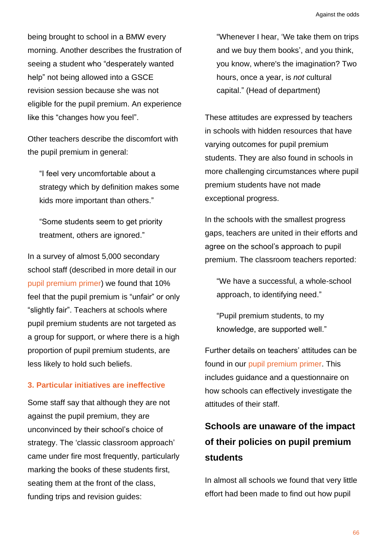being brought to school in a BMW every morning. Another describes the frustration of seeing a student who "desperately wanted help" not being allowed into a GSCE revision session because she was not eligible for the pupil premium. An experience like this "changes how you feel".

Other teachers describe the discomfort with the pupil premium in general:

"I feel very uncomfortable about a strategy which by definition makes some kids more important than others."

"Some students seem to get priority treatment, others are ignored."

In a survey of almost 5,000 secondary school staff (described in more detail in our [pupil premium primer\)](http://educationobservatory.co.uk/pupilpremiumprimer/) we found that 10% feel that the pupil premium is "unfair" or only "slightly fair". Teachers at schools where pupil premium students are not targeted as a group for support, or where there is a high proportion of pupil premium students, are less likely to hold such beliefs.

#### **3. Particular initiatives are ineffective**

Some staff say that although they are not against the pupil premium, they are unconvinced by their school's choice of strategy. The 'classic classroom approach' came under fire most frequently, particularly marking the books of these students first, seating them at the front of the class, funding trips and revision guides:

"Whenever I hear, 'We take them on trips and we buy them books', and you think, you know, where's the imagination? Two hours, once a year, is *not* cultural capital." (Head of department)

These attitudes are expressed by teachers in schools with hidden resources that have varying outcomes for pupil premium students. They are also found in schools in more challenging circumstances where pupil premium students have not made exceptional progress.

In the schools with the smallest progress gaps, teachers are united in their efforts and agree on the school's approach to pupil premium. The classroom teachers reported:

"We have a successful, a whole-school approach, to identifying need."

"Pupil premium students, to my knowledge, are supported well."

Further details on teachers' attitudes can be found in our [pupil premium primer.](http://educationobservatory.co.uk/pupilpremiumprimer/) This includes guidance and a questionnaire on how schools can effectively investigate the attitudes of their staff.

# <span id="page-69-0"></span>**Schools are unaware of the impact of their policies on pupil premium students**

In almost all schools we found that very little effort had been made to find out how pupil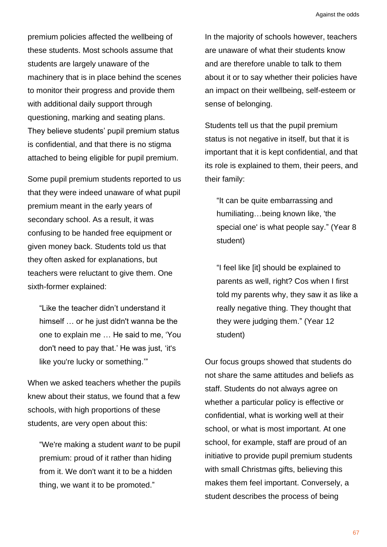premium policies affected the wellbeing of these students. Most schools assume that students are largely unaware of the machinery that is in place behind the scenes to monitor their progress and provide them with additional daily support through questioning, marking and seating plans. They believe students' pupil premium status is confidential, and that there is no stigma attached to being eligible for pupil premium.

Some pupil premium students reported to us that they were indeed unaware of what pupil premium meant in the early years of secondary school. As a result, it was confusing to be handed free equipment or given money back. Students told us that they often asked for explanations, but teachers were reluctant to give them. One sixth-former explained:

"Like the teacher didn't understand it himself … or he just didn't wanna be the one to explain me … He said to me, 'You don't need to pay that.' He was just, 'it's like you're lucky or something.'"

When we asked teachers whether the pupils knew about their status, we found that a few schools, with high proportions of these students, are very open about this:

"We're making a student *want* to be pupil premium: proud of it rather than hiding from it. We don't want it to be a hidden thing, we want it to be promoted."

In the majority of schools however, teachers are unaware of what their students know and are therefore unable to talk to them about it or to say whether their policies have an impact on their wellbeing, self-esteem or sense of belonging.

Students tell us that the pupil premium status is not negative in itself, but that it is important that it is kept confidential, and that its role is explained to them, their peers, and their family:

"It can be quite embarrassing and humiliating…being known like, 'the special one' is what people say." (Year 8 student)

"I feel like [it] should be explained to parents as well, right? Cos when I first told my parents why, they saw it as like a really negative thing. They thought that they were judging them." (Year 12 student)

Our focus groups showed that students do not share the same attitudes and beliefs as staff. Students do not always agree on whether a particular policy is effective or confidential, what is working well at their school, or what is most important. At one school, for example, staff are proud of an initiative to provide pupil premium students with small Christmas gifts, believing this makes them feel important. Conversely, a student describes the process of being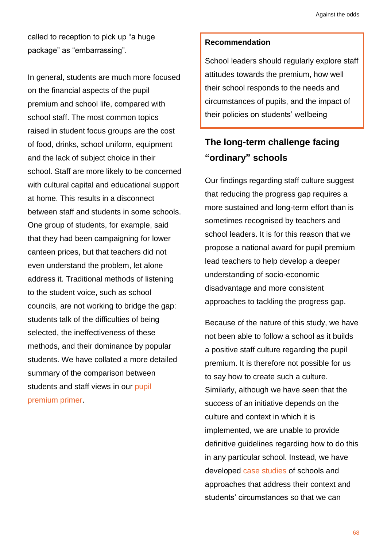called to reception to pick up "a huge package" as "embarrassing".

In general, students are much more focused on the financial aspects of the pupil premium and school life, compared with school staff. The most common topics raised in student focus groups are the cost of food, drinks, school uniform, equipment and the lack of subject choice in their school. Staff are more likely to be concerned with cultural capital and educational support at home. This results in a disconnect between staff and students in some schools. One group of students, for example, said that they had been campaigning for lower canteen prices, but that teachers did not even understand the problem, let alone address it. Traditional methods of listening to the student voice, such as school councils, are not working to bridge the gap: students talk of the difficulties of being selected, the ineffectiveness of these methods, and their dominance by popular students. We have collated a more detailed summary of the comparison between students and staff views in our [pupil](http://educationobservatory.co.uk/pupilpremiumprimer/)  [premium primer.](http://educationobservatory.co.uk/pupilpremiumprimer/)

#### **Recommendation**

School leaders should regularly explore staff attitudes towards the premium, how well their school responds to the needs and circumstances of pupils, and the impact of their policies on students' wellbeing

# **The long-term challenge facing "ordinary" schools**

Our findings regarding staff culture suggest that reducing the progress gap requires a more sustained and long-term effort than is sometimes recognised by teachers and school leaders. It is for this reason that we propose a national award for pupil premium lead teachers to help develop a deeper understanding of socio-economic disadvantage and more consistent approaches to tackling the progress gap.

Because of the nature of this study, we have not been able to follow a school as it builds a positive staff culture regarding the pupil premium. It is therefore not possible for us to say how to create such a culture. Similarly, although we have seen that the success of an initiative depends on the culture and context in which it is implemented, we are unable to provide definitive guidelines regarding how to do this in any particular school. Instead, we have developed [case studies](http://educationobservatory.co.uk/pupilpremiumprimer/) of schools and approaches that address their context and students' circumstances so that we can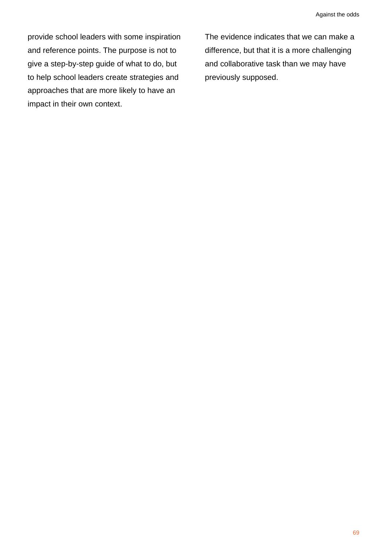provide school leaders with some inspiration and reference points. The purpose is not to give a step-by-step guide of what to do, but to help school leaders create strategies and approaches that are more likely to have an impact in their own context.

The evidence indicates that we can make a difference, but that it is a more challenging and collaborative task than we may have previously supposed.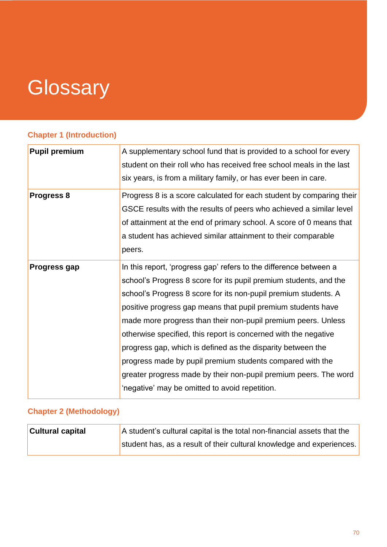## **Glossary**

## **Chapter 1 (Introduction)**

| <b>Pupil premium</b> | A supplementary school fund that is provided to a school for every<br>student on their roll who has received free school meals in the last                                                                                                                                                                                                                                                                                                                                                                                                                                                                                                                      |
|----------------------|-----------------------------------------------------------------------------------------------------------------------------------------------------------------------------------------------------------------------------------------------------------------------------------------------------------------------------------------------------------------------------------------------------------------------------------------------------------------------------------------------------------------------------------------------------------------------------------------------------------------------------------------------------------------|
|                      | six years, is from a military family, or has ever been in care.                                                                                                                                                                                                                                                                                                                                                                                                                                                                                                                                                                                                 |
| Progress 8           | Progress 8 is a score calculated for each student by comparing their<br>GSCE results with the results of peers who achieved a similar level<br>of attainment at the end of primary school. A score of 0 means that<br>a student has achieved similar attainment to their comparable<br>peers.                                                                                                                                                                                                                                                                                                                                                                   |
| <b>Progress gap</b>  | In this report, 'progress gap' refers to the difference between a<br>school's Progress 8 score for its pupil premium students, and the<br>school's Progress 8 score for its non-pupil premium students. A<br>positive progress gap means that pupil premium students have<br>made more progress than their non-pupil premium peers. Unless<br>otherwise specified, this report is concerned with the negative<br>progress gap, which is defined as the disparity between the<br>progress made by pupil premium students compared with the<br>greater progress made by their non-pupil premium peers. The word<br>'negative' may be omitted to avoid repetition. |
|                      |                                                                                                                                                                                                                                                                                                                                                                                                                                                                                                                                                                                                                                                                 |

## **Chapter 2 (Methodology)**

| <b>Cultural capital</b> | A student's cultural capital is the total non-financial assets that the |
|-------------------------|-------------------------------------------------------------------------|
|                         | student has, as a result of their cultural knowledge and experiences.   |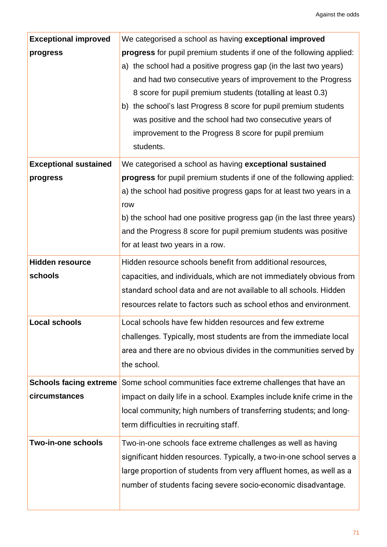| <b>Exceptional improved</b>       | We categorised a school as having exceptional improved                                                                                                                                                                                                                                                                                                                                                                                                                         |
|-----------------------------------|--------------------------------------------------------------------------------------------------------------------------------------------------------------------------------------------------------------------------------------------------------------------------------------------------------------------------------------------------------------------------------------------------------------------------------------------------------------------------------|
| progress                          | progress for pupil premium students if one of the following applied:<br>a) the school had a positive progress gap (in the last two years)<br>and had two consecutive years of improvement to the Progress<br>8 score for pupil premium students (totalling at least 0.3)<br>b) the school's last Progress 8 score for pupil premium students<br>was positive and the school had two consecutive years of<br>improvement to the Progress 8 score for pupil premium<br>students. |
| <b>Exceptional sustained</b>      | We categorised a school as having exceptional sustained                                                                                                                                                                                                                                                                                                                                                                                                                        |
| progress                          | progress for pupil premium students if one of the following applied:<br>a) the school had positive progress gaps for at least two years in a<br>row<br>b) the school had one positive progress gap (in the last three years)<br>and the Progress 8 score for pupil premium students was positive                                                                                                                                                                               |
|                                   | for at least two years in a row.                                                                                                                                                                                                                                                                                                                                                                                                                                               |
| <b>Hidden resource</b><br>schools | Hidden resource schools benefit from additional resources,<br>capacities, and individuals, which are not immediately obvious from<br>standard school data and are not available to all schools. Hidden<br>resources relate to factors such as school ethos and environment.                                                                                                                                                                                                    |
| <b>Local schools</b>              | Local schools have few hidden resources and few extreme<br>challenges. Typically, most students are from the immediate local<br>area and there are no obvious divides in the communities served by<br>the school.                                                                                                                                                                                                                                                              |
| circumstances                     | <b>Schools facing extreme</b> Some school communities face extreme challenges that have an<br>impact on daily life in a school. Examples include knife crime in the<br>local community; high numbers of transferring students; and long-<br>term difficulties in recruiting staff.                                                                                                                                                                                             |
| <b>Two-in-one schools</b>         | Two-in-one schools face extreme challenges as well as having<br>significant hidden resources. Typically, a two-in-one school serves a<br>large proportion of students from very affluent homes, as well as a<br>number of students facing severe socio-economic disadvantage.                                                                                                                                                                                                  |